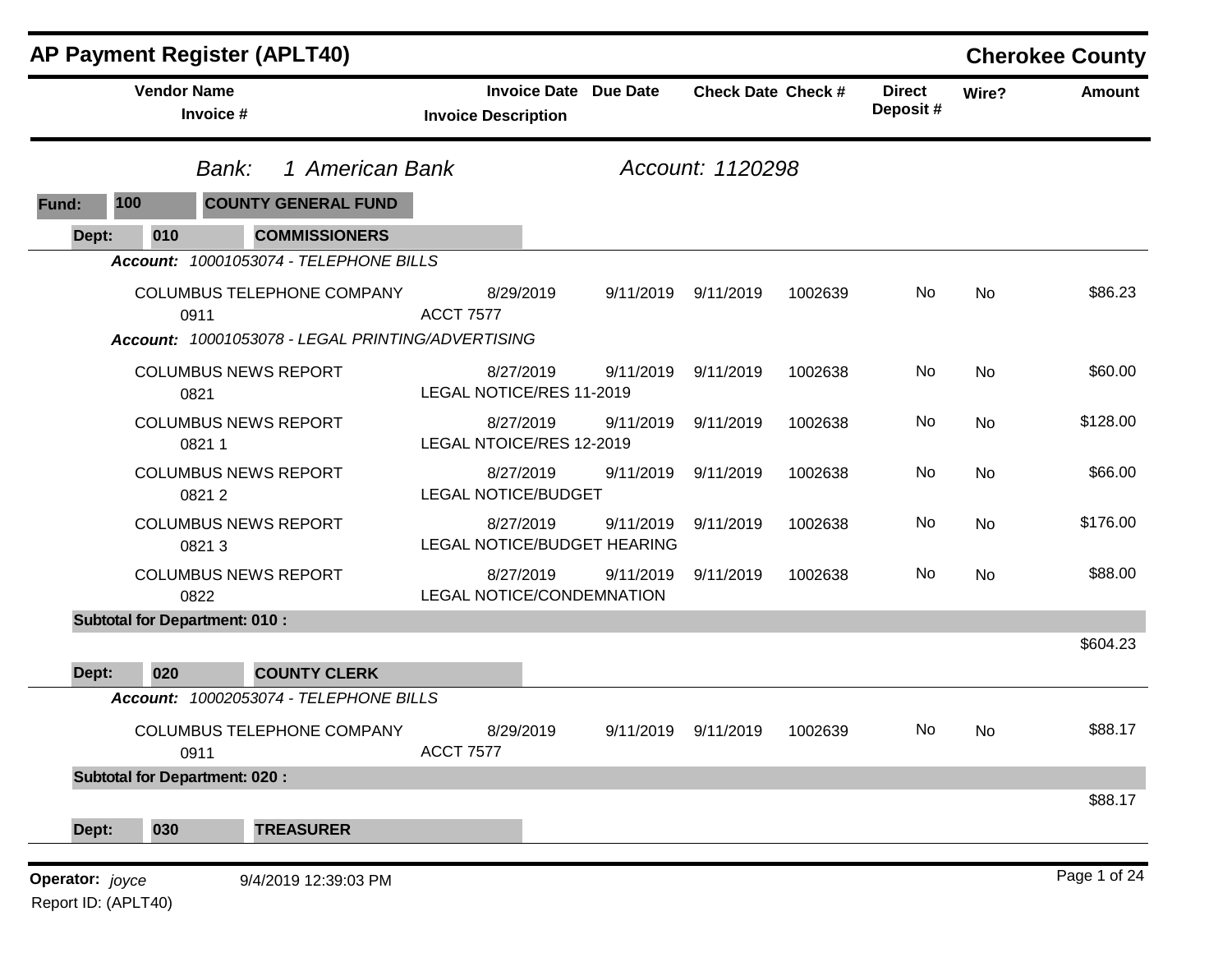|                     |                                      | AP Payment Register (APLT40)                      |                                                            |           |                           |         |                           |           | <b>Cherokee County</b> |
|---------------------|--------------------------------------|---------------------------------------------------|------------------------------------------------------------|-----------|---------------------------|---------|---------------------------|-----------|------------------------|
|                     | <b>Vendor Name</b><br>Invoice #      |                                                   | <b>Invoice Date Due Date</b><br><b>Invoice Description</b> |           | <b>Check Date Check #</b> |         | <b>Direct</b><br>Deposit# | Wire?     | <b>Amount</b>          |
|                     |                                      | 1 American Bank<br>Bank:                          |                                                            |           | Account: 1120298          |         |                           |           |                        |
| 100<br>Fund:        |                                      | <b>COUNTY GENERAL FUND</b>                        |                                                            |           |                           |         |                           |           |                        |
| Dept:               | 010                                  | <b>COMMISSIONERS</b>                              |                                                            |           |                           |         |                           |           |                        |
|                     |                                      | Account: 10001053074 - TELEPHONE BILLS            |                                                            |           |                           |         |                           |           |                        |
|                     | 0911                                 | COLUMBUS TELEPHONE COMPANY                        | 8/29/2019<br><b>ACCT 7577</b>                              | 9/11/2019 | 9/11/2019                 | 1002639 | No                        | <b>No</b> | \$86.23                |
|                     |                                      | Account: 10001053078 - LEGAL PRINTING/ADVERTISING |                                                            |           |                           |         |                           |           |                        |
|                     | 0821                                 | <b>COLUMBUS NEWS REPORT</b>                       | 8/27/2019<br>LEGAL NOTICE/RES 11-2019                      | 9/11/2019 | 9/11/2019                 | 1002638 | No                        | <b>No</b> | \$60.00                |
|                     | 08211                                | <b>COLUMBUS NEWS REPORT</b>                       | 8/27/2019<br>LEGAL NTOICE/RES 12-2019                      | 9/11/2019 | 9/11/2019                 | 1002638 | No                        | <b>No</b> | \$128.00               |
|                     | 08212                                | <b>COLUMBUS NEWS REPORT</b>                       | 8/27/2019<br><b>LEGAL NOTICE/BUDGET</b>                    | 9/11/2019 | 9/11/2019                 | 1002638 | No                        | <b>No</b> | \$66.00                |
|                     | 08213                                | <b>COLUMBUS NEWS REPORT</b>                       | 8/27/2019<br>LEGAL NOTICE/BUDGET HEARING                   | 9/11/2019 | 9/11/2019                 | 1002638 | No                        | <b>No</b> | \$176.00               |
|                     | 0822                                 | <b>COLUMBUS NEWS REPORT</b>                       | 8/27/2019<br>LEGAL NOTICE/CONDEMNATION                     | 9/11/2019 | 9/11/2019                 | 1002638 | No                        | <b>No</b> | \$88.00                |
|                     | <b>Subtotal for Department: 010:</b> |                                                   |                                                            |           |                           |         |                           |           |                        |
|                     |                                      |                                                   |                                                            |           |                           |         |                           |           | \$604.23               |
| Dept:               | 020                                  | <b>COUNTY CLERK</b>                               |                                                            |           |                           |         |                           |           |                        |
|                     |                                      | Account: 10002053074 - TELEPHONE BILLS            |                                                            |           |                           |         |                           |           |                        |
|                     | 0911                                 | <b>COLUMBUS TELEPHONE COMPANY</b>                 | 8/29/2019<br><b>ACCT 7577</b>                              | 9/11/2019 | 9/11/2019                 | 1002639 | No                        | No        | \$88.17                |
|                     | <b>Subtotal for Department: 020:</b> |                                                   |                                                            |           |                           |         |                           |           | \$88.17                |
| Dept:               | 030                                  | <b>TREASURER</b>                                  |                                                            |           |                           |         |                           |           |                        |
| Operator: joyce     |                                      | 9/4/2019 12:39:03 PM                              |                                                            |           |                           |         |                           |           | Page 1 of 24           |
| Report ID: (APLT40) |                                      |                                                   |                                                            |           |                           |         |                           |           |                        |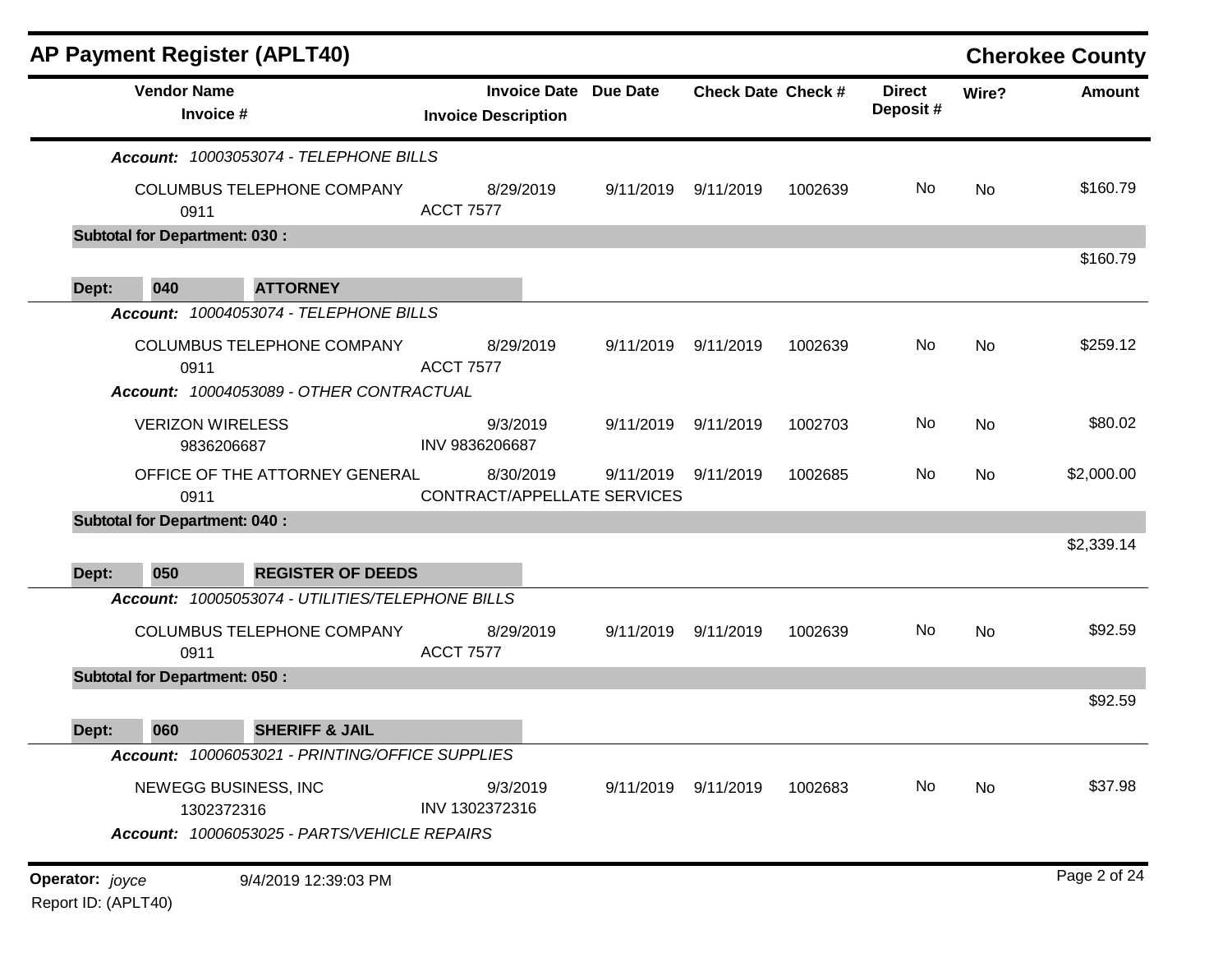| <b>AP Payment Register (APLT40)</b>                   |                                          |                              |                           |         |                           |           | <b>Cherokee County</b> |
|-------------------------------------------------------|------------------------------------------|------------------------------|---------------------------|---------|---------------------------|-----------|------------------------|
| <b>Vendor Name</b><br>Invoice #                       | <b>Invoice Description</b>               | <b>Invoice Date Due Date</b> | <b>Check Date Check #</b> |         | <b>Direct</b><br>Deposit# | Wire?     | <b>Amount</b>          |
| Account: 10003053074 - TELEPHONE BILLS                |                                          |                              |                           |         |                           |           |                        |
| COLUMBUS TELEPHONE COMPANY<br>0911                    | 8/29/2019<br><b>ACCT 7577</b>            | 9/11/2019                    | 9/11/2019                 | 1002639 | No                        | No        | \$160.79               |
| <b>Subtotal for Department: 030:</b>                  |                                          |                              |                           |         |                           |           |                        |
|                                                       |                                          |                              |                           |         |                           |           | \$160.79               |
| 040<br><b>ATTORNEY</b><br>Dept:                       |                                          |                              |                           |         |                           |           |                        |
| Account: 10004053074 - TELEPHONE BILLS                |                                          |                              |                           |         |                           |           |                        |
| COLUMBUS TELEPHONE COMPANY<br>0911                    | 8/29/2019<br><b>ACCT 7577</b>            | 9/11/2019                    | 9/11/2019                 | 1002639 | No                        | No        | \$259.12               |
| Account: 10004053089 - OTHER CONTRACTUAL              |                                          |                              |                           |         |                           |           |                        |
| <b>VERIZON WIRELESS</b><br>9836206687                 | 9/3/2019<br>INV 9836206687               | 9/11/2019                    | 9/11/2019                 | 1002703 | No                        | <b>No</b> | \$80.02                |
| OFFICE OF THE ATTORNEY GENERAL<br>0911                | 8/30/2019<br>CONTRACT/APPELLATE SERVICES |                              | 9/11/2019 9/11/2019       | 1002685 | No                        | No        | \$2,000.00             |
| <b>Subtotal for Department: 040:</b>                  |                                          |                              |                           |         |                           |           |                        |
|                                                       |                                          |                              |                           |         |                           |           | \$2,339.14             |
| 050<br><b>REGISTER OF DEEDS</b><br>Dept:              |                                          |                              |                           |         |                           |           |                        |
| Account: 10005053074 - UTILITIES/TELEPHONE BILLS      |                                          |                              |                           |         |                           |           |                        |
| COLUMBUS TELEPHONE COMPANY<br>0911                    | 8/29/2019<br><b>ACCT 7577</b>            |                              | 9/11/2019 9/11/2019       | 1002639 | No                        | No        | \$92.59                |
| <b>Subtotal for Department: 050:</b>                  |                                          |                              |                           |         |                           |           |                        |
|                                                       |                                          |                              |                           |         |                           |           | \$92.59                |
| <b>SHERIFF &amp; JAIL</b><br>060<br>Dept:             |                                          |                              |                           |         |                           |           |                        |
| Account: 10006053021 - PRINTING/OFFICE SUPPLIES       |                                          |                              |                           |         |                           |           |                        |
| NEWEGG BUSINESS, INC<br>1302372316                    | 9/3/2019<br>INV 1302372316               |                              | 9/11/2019 9/11/2019       | 1002683 | No                        | No        | \$37.98                |
| Account: 10006053025 - PARTS/VEHICLE REPAIRS          |                                          |                              |                           |         |                           |           |                        |
| 9/4/2019 12:39:03 PM<br><b>Operator:</b> <i>joyce</i> |                                          |                              |                           |         |                           |           | Page 2 of 24           |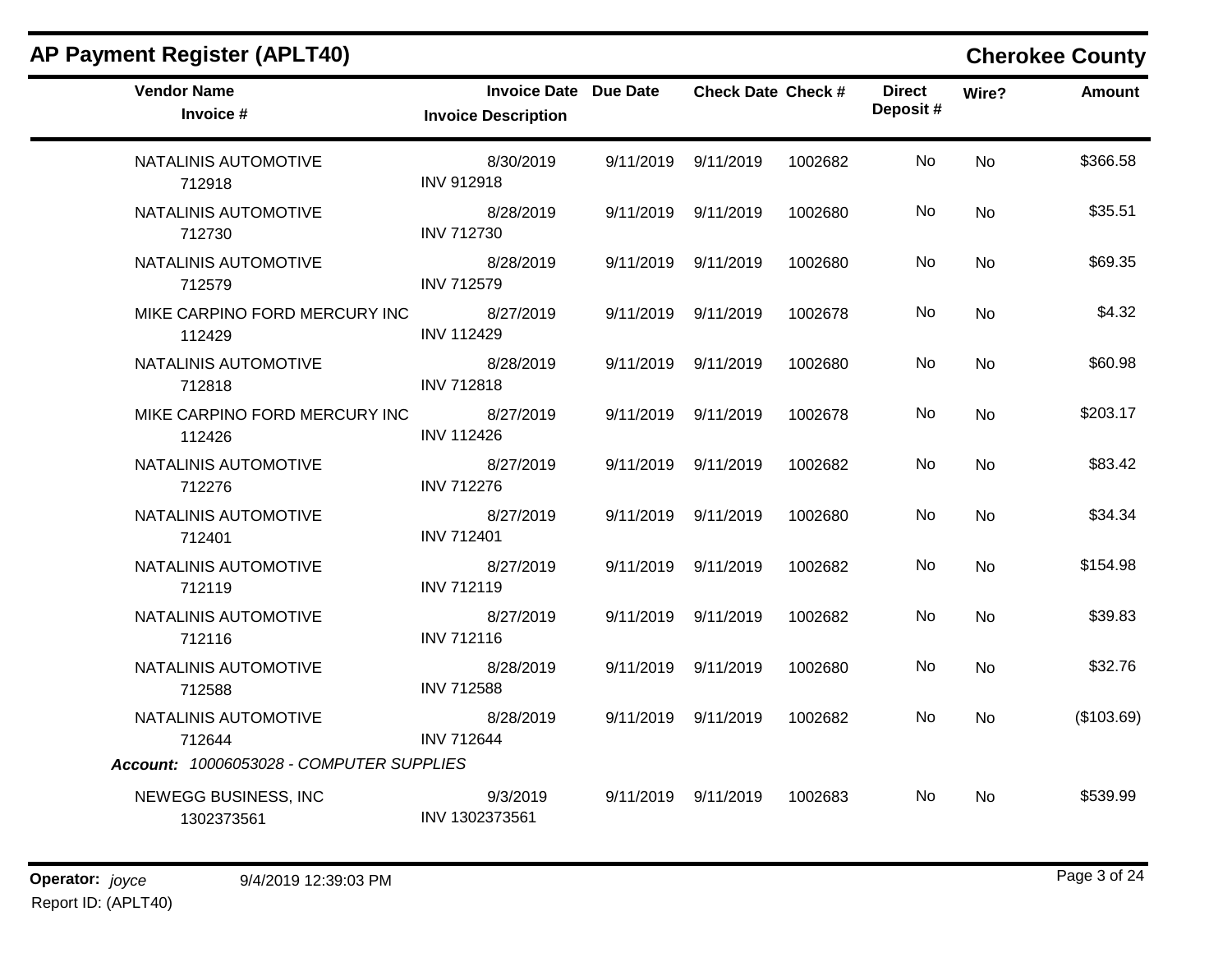| <b>AP Payment Register (APLT40)</b>      |                                                     |                           |         |                           |                | <b>Cherokee County</b> |
|------------------------------------------|-----------------------------------------------------|---------------------------|---------|---------------------------|----------------|------------------------|
| <b>Vendor Name</b><br>Invoice #          | Invoice Date Due Date<br><b>Invoice Description</b> | <b>Check Date Check #</b> |         | <b>Direct</b><br>Deposit# | Wire?          | <b>Amount</b>          |
| NATALINIS AUTOMOTIVE<br>712918           | 8/30/2019<br><b>INV 912918</b>                      | 9/11/2019 9/11/2019       | 1002682 | No.                       | <b>No</b>      | \$366.58               |
| NATALINIS AUTOMOTIVE<br>712730           | 8/28/2019<br><b>INV 712730</b>                      | 9/11/2019 9/11/2019       | 1002680 | No.                       | N <sub>o</sub> | \$35.51                |
| NATALINIS AUTOMOTIVE<br>712579           | 8/28/2019<br><b>INV 712579</b>                      | 9/11/2019 9/11/2019       | 1002680 | No.                       | No             | \$69.35                |
| MIKE CARPINO FORD MERCURY INC<br>112429  | 8/27/2019<br><b>INV 112429</b>                      | 9/11/2019 9/11/2019       | 1002678 | No.                       | No.            | \$4.32                 |
| NATALINIS AUTOMOTIVE<br>712818           | 8/28/2019<br><b>INV 712818</b>                      | 9/11/2019 9/11/2019       | 1002680 | No.                       | No             | \$60.98                |
| MIKE CARPINO FORD MERCURY INC<br>112426  | 8/27/2019<br><b>INV 112426</b>                      | 9/11/2019 9/11/2019       | 1002678 | No                        | No             | \$203.17               |
| NATALINIS AUTOMOTIVE<br>712276           | 8/27/2019<br><b>INV 712276</b>                      | 9/11/2019 9/11/2019       | 1002682 | No.                       | <b>No</b>      | \$83.42                |
| NATALINIS AUTOMOTIVE<br>712401           | 8/27/2019<br><b>INV 712401</b>                      | 9/11/2019 9/11/2019       | 1002680 | No.                       | No             | \$34.34                |
| NATALINIS AUTOMOTIVE<br>712119           | 8/27/2019<br><b>INV 712119</b>                      | 9/11/2019 9/11/2019       | 1002682 | No                        | No.            | \$154.98               |
| NATALINIS AUTOMOTIVE<br>712116           | 8/27/2019<br><b>INV 712116</b>                      | 9/11/2019 9/11/2019       | 1002682 | No.                       | <b>No</b>      | \$39.83                |
| NATALINIS AUTOMOTIVE<br>712588           | 8/28/2019<br><b>INV 712588</b>                      | 9/11/2019 9/11/2019       | 1002680 | No.                       | <b>No</b>      | \$32.76                |
| NATALINIS AUTOMOTIVE<br>712644           | 8/28/2019<br><b>INV 712644</b>                      | 9/11/2019 9/11/2019       | 1002682 | No.                       | <b>No</b>      | (\$103.69)             |
| Account: 10006053028 - COMPUTER SUPPLIES |                                                     |                           |         |                           |                |                        |
| NEWEGG BUSINESS, INC<br>1302373561       | 9/3/2019<br>INV 1302373561                          | 9/11/2019 9/11/2019       | 1002683 | No.                       | No.            | \$539.99               |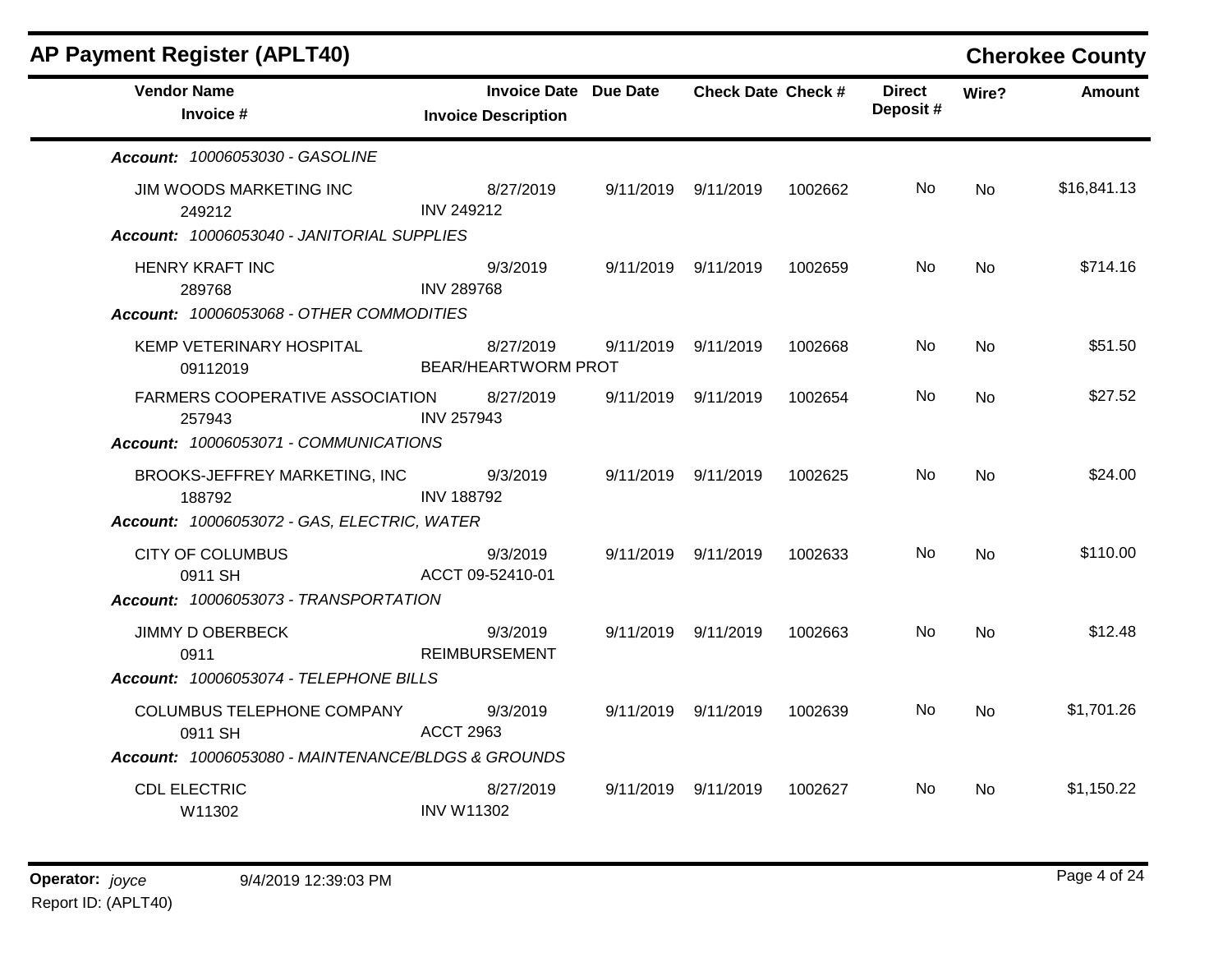| <b>AP Payment Register (APLT40)</b>                |                                                     |                           |         |                           |                | <b>Cherokee County</b> |
|----------------------------------------------------|-----------------------------------------------------|---------------------------|---------|---------------------------|----------------|------------------------|
| <b>Vendor Name</b><br>Invoice #                    | Invoice Date Due Date<br><b>Invoice Description</b> | <b>Check Date Check #</b> |         | <b>Direct</b><br>Deposit# | Wire?          | <b>Amount</b>          |
| Account: 10006053030 - GASOLINE                    |                                                     |                           |         |                           |                |                        |
| JIM WOODS MARKETING INC<br>249212                  | 8/27/2019<br><b>INV 249212</b>                      | 9/11/2019 9/11/2019       | 1002662 | No.                       | No.            | \$16,841.13            |
| Account: 10006053040 - JANITORIAL SUPPLIES         |                                                     |                           |         |                           |                |                        |
| <b>HENRY KRAFT INC</b><br>289768                   | 9/3/2019<br><b>INV 289768</b>                       | 9/11/2019 9/11/2019       | 1002659 | No.                       | <b>No</b>      | \$714.16               |
| Account: 10006053068 - OTHER COMMODITIES           |                                                     |                           |         |                           |                |                        |
| KEMP VETERINARY HOSPITAL<br>09112019               | 8/27/2019<br><b>BEAR/HEARTWORM PROT</b>             | 9/11/2019 9/11/2019       | 1002668 | No.                       | <b>No</b>      | \$51.50                |
| <b>FARMERS COOPERATIVE ASSOCIATION</b><br>257943   | 8/27/2019<br><b>INV 257943</b>                      | 9/11/2019 9/11/2019       | 1002654 | No.                       | No.            | \$27.52                |
| Account: 10006053071 - COMMUNICATIONS              |                                                     |                           |         |                           |                |                        |
| BROOKS-JEFFREY MARKETING, INC<br>188792            | 9/3/2019<br><b>INV 188792</b>                       | 9/11/2019 9/11/2019       | 1002625 | No.                       | No.            | \$24.00                |
| Account: 10006053072 - GAS, ELECTRIC, WATER        |                                                     |                           |         |                           |                |                        |
| <b>CITY OF COLUMBUS</b><br>0911 SH                 | 9/3/2019<br>ACCT 09-52410-01                        | 9/11/2019 9/11/2019       | 1002633 | No.                       | N <sub>o</sub> | \$110.00               |
| Account: 10006053073 - TRANSPORTATION              |                                                     |                           |         |                           |                |                        |
| <b>JIMMY D OBERBECK</b><br>0911                    | 9/3/2019<br><b>REIMBURSEMENT</b>                    | 9/11/2019 9/11/2019       | 1002663 | No.                       | N <sub>o</sub> | \$12.48                |
| Account: 10006053074 - TELEPHONE BILLS             |                                                     |                           |         |                           |                |                        |
| COLUMBUS TELEPHONE COMPANY<br>0911 SH              | 9/3/2019<br><b>ACCT 2963</b>                        | 9/11/2019 9/11/2019       | 1002639 | No.                       | <b>No</b>      | \$1,701.26             |
| Account: 10006053080 - MAINTENANCE/BLDGS & GROUNDS |                                                     |                           |         |                           |                |                        |
| <b>CDL ELECTRIC</b><br>W11302                      | 8/27/2019<br><b>INV W11302</b>                      | 9/11/2019 9/11/2019       | 1002627 | No.                       | No.            | \$1,150.22             |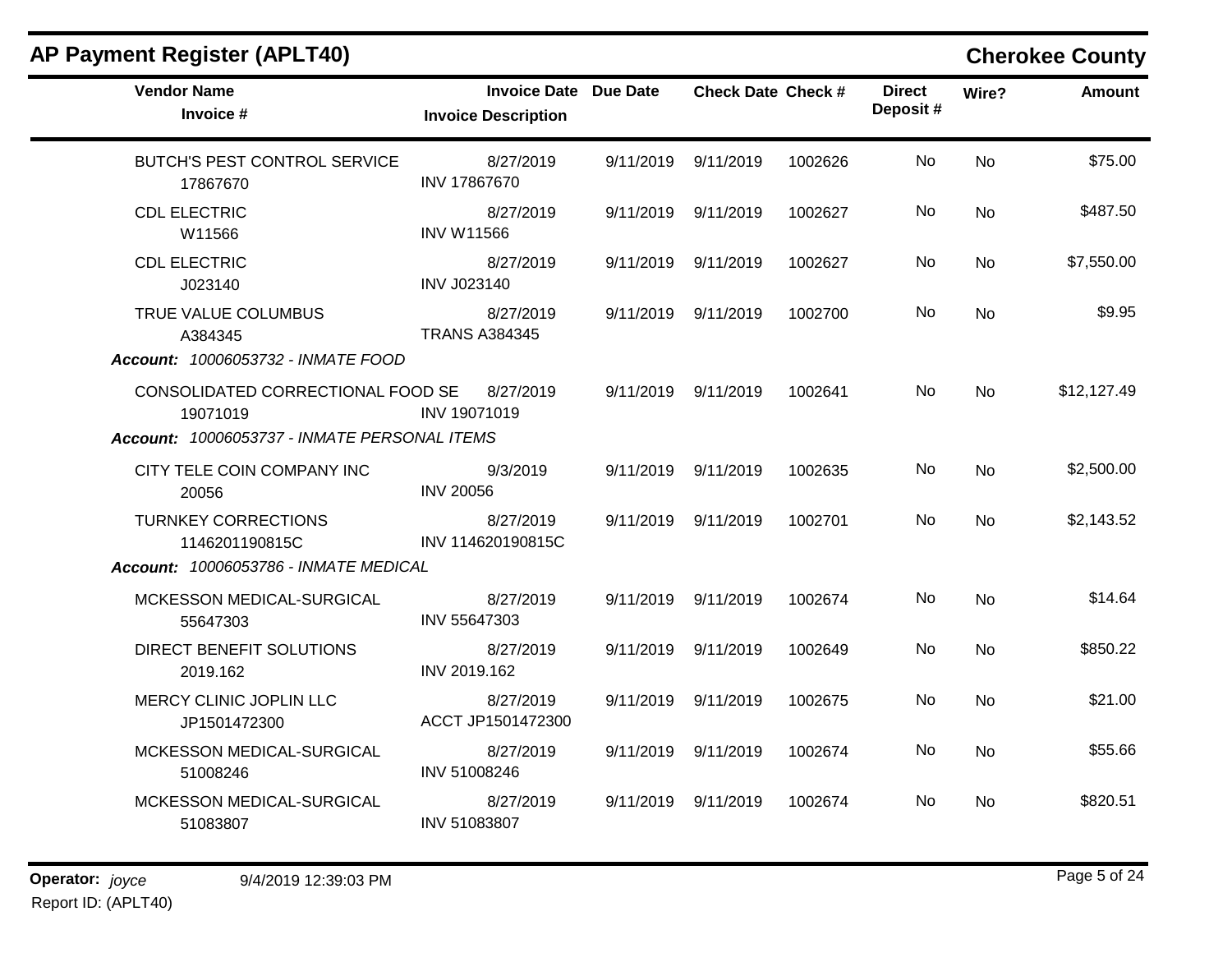| <b>AP Payment Register (APLT40)</b>             |                                                            |           |                           |         |                           |           | <b>Cherokee County</b> |
|-------------------------------------------------|------------------------------------------------------------|-----------|---------------------------|---------|---------------------------|-----------|------------------------|
| <b>Vendor Name</b><br>Invoice #                 | <b>Invoice Date Due Date</b><br><b>Invoice Description</b> |           | <b>Check Date Check #</b> |         | <b>Direct</b><br>Deposit# | Wire?     | <b>Amount</b>          |
| <b>BUTCH'S PEST CONTROL SERVICE</b><br>17867670 | 8/27/2019<br>INV 17867670                                  |           | 9/11/2019 9/11/2019       | 1002626 | No                        | <b>No</b> | \$75.00                |
| <b>CDL ELECTRIC</b><br>W11566                   | 8/27/2019<br><b>INV W11566</b>                             | 9/11/2019 | 9/11/2019                 | 1002627 | No                        | No        | \$487.50               |
| <b>CDL ELECTRIC</b><br>J023140                  | 8/27/2019<br><b>INV J023140</b>                            | 9/11/2019 | 9/11/2019                 | 1002627 | No                        | No        | \$7,550.00             |
| TRUE VALUE COLUMBUS<br>A384345                  | 8/27/2019<br><b>TRANS A384345</b>                          |           | 9/11/2019 9/11/2019       | 1002700 | No.                       | No.       | \$9.95                 |
| <b>Account: 10006053732 - INMATE FOOD</b>       |                                                            |           |                           |         |                           |           |                        |
| CONSOLIDATED CORRECTIONAL FOOD SE<br>19071019   | 8/27/2019<br>INV 19071019                                  |           | 9/11/2019 9/11/2019       | 1002641 | No.                       | <b>No</b> | \$12,127.49            |
| Account: 10006053737 - INMATE PERSONAL ITEMS    |                                                            |           |                           |         |                           |           |                        |
| CITY TELE COIN COMPANY INC<br>20056             | 9/3/2019<br><b>INV 20056</b>                               |           | 9/11/2019 9/11/2019       | 1002635 | No                        | <b>No</b> | \$2,500.00             |
| <b>TURNKEY CORRECTIONS</b><br>1146201190815C    | 8/27/2019<br>INV 114620190815C                             | 9/11/2019 | 9/11/2019                 | 1002701 | No.                       | No.       | \$2,143.52             |
| Account: 10006053786 - INMATE MEDICAL           |                                                            |           |                           |         |                           |           |                        |
| MCKESSON MEDICAL-SURGICAL<br>55647303           | 8/27/2019<br>INV 55647303                                  |           | 9/11/2019 9/11/2019       | 1002674 | No                        | <b>No</b> | \$14.64                |
| DIRECT BENEFIT SOLUTIONS<br>2019.162            | 8/27/2019<br>INV 2019.162                                  | 9/11/2019 | 9/11/2019                 | 1002649 | No.                       | <b>No</b> | \$850.22               |
| MERCY CLINIC JOPLIN LLC<br>JP1501472300         | 8/27/2019<br>ACCT JP1501472300                             | 9/11/2019 | 9/11/2019                 | 1002675 | No.                       | <b>No</b> | \$21.00                |
| MCKESSON MEDICAL-SURGICAL<br>51008246           | 8/27/2019<br>INV 51008246                                  |           | 9/11/2019 9/11/2019       | 1002674 | No.                       | <b>No</b> | \$55.66                |
| MCKESSON MEDICAL-SURGICAL<br>51083807           | 8/27/2019<br>INV 51083807                                  |           | 9/11/2019 9/11/2019       | 1002674 | No                        | No.       | \$820.51               |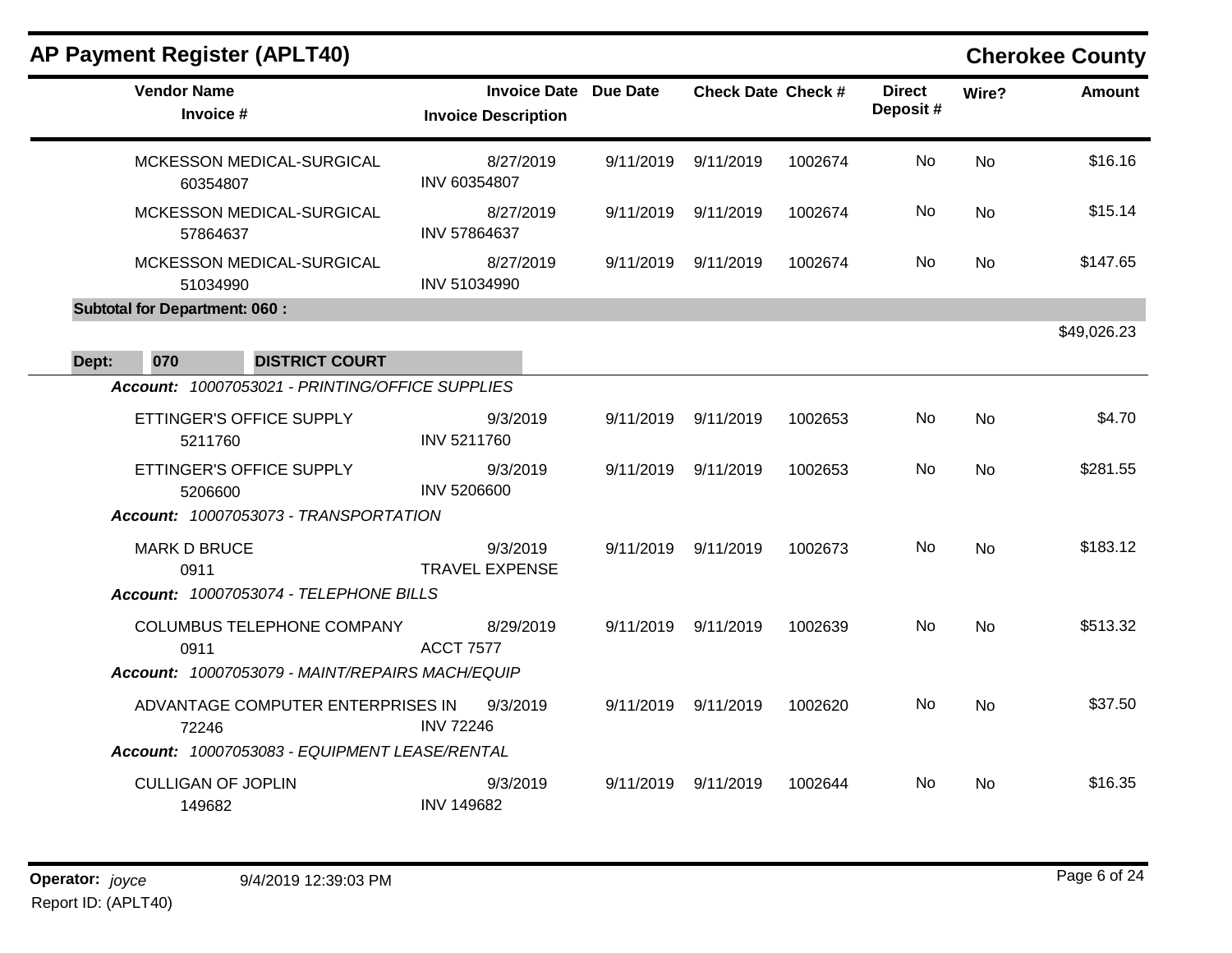|       | <b>AP Payment Register (APLT40)</b>             |                                                     |           |                           |         |                            |           | <b>Cherokee County</b> |
|-------|-------------------------------------------------|-----------------------------------------------------|-----------|---------------------------|---------|----------------------------|-----------|------------------------|
|       | <b>Vendor Name</b><br>Invoice #                 | Invoice Date Due Date<br><b>Invoice Description</b> |           | <b>Check Date Check #</b> |         | <b>Direct</b><br>Deposit # | Wire?     | <b>Amount</b>          |
|       | MCKESSON MEDICAL-SURGICAL<br>60354807           | 8/27/2019<br>INV 60354807                           | 9/11/2019 | 9/11/2019                 | 1002674 | No                         | No        | \$16.16                |
|       | MCKESSON MEDICAL-SURGICAL<br>57864637           | 8/27/2019<br>INV 57864637                           | 9/11/2019 | 9/11/2019                 | 1002674 | No.                        | No.       | \$15.14                |
|       | MCKESSON MEDICAL-SURGICAL<br>51034990           | 8/27/2019<br>INV 51034990                           | 9/11/2019 | 9/11/2019                 | 1002674 | No                         | No.       | \$147.65               |
|       | <b>Subtotal for Department: 060:</b>            |                                                     |           |                           |         |                            |           |                        |
| Dept: | 070<br><b>DISTRICT COURT</b>                    |                                                     |           |                           |         |                            |           | \$49,026.23            |
|       | Account: 10007053021 - PRINTING/OFFICE SUPPLIES |                                                     |           |                           |         |                            |           |                        |
|       | ETTINGER'S OFFICE SUPPLY<br>5211760             | 9/3/2019<br>INV 5211760                             | 9/11/2019 | 9/11/2019                 | 1002653 | No                         | <b>No</b> | \$4.70                 |
|       | ETTINGER'S OFFICE SUPPLY<br>5206600             | 9/3/2019<br><b>INV 5206600</b>                      | 9/11/2019 | 9/11/2019                 | 1002653 | No.                        | <b>No</b> | \$281.55               |
|       | Account: 10007053073 - TRANSPORTATION           |                                                     |           |                           |         |                            |           |                        |
|       | <b>MARK D BRUCE</b><br>0911                     | 9/3/2019<br><b>TRAVEL EXPENSE</b>                   |           | 9/11/2019 9/11/2019       | 1002673 | <b>No</b>                  | <b>No</b> | \$183.12               |
|       | Account: 10007053074 - TELEPHONE BILLS          |                                                     |           |                           |         |                            |           |                        |
|       | COLUMBUS TELEPHONE COMPANY<br>0911              | 8/29/2019<br><b>ACCT 7577</b>                       | 9/11/2019 | 9/11/2019                 | 1002639 | No                         | <b>No</b> | \$513.32               |
|       | Account: 10007053079 - MAINT/REPAIRS MACH/EQUIP |                                                     |           |                           |         |                            |           |                        |
|       | ADVANTAGE COMPUTER ENTERPRISES IN<br>72246      | 9/3/2019<br><b>INV 72246</b>                        | 9/11/2019 | 9/11/2019                 | 1002620 | No.                        | <b>No</b> | \$37.50                |
|       | Account: 10007053083 - EQUIPMENT LEASE/RENTAL   |                                                     |           |                           |         |                            |           |                        |
|       | <b>CULLIGAN OF JOPLIN</b><br>149682             | 9/3/2019<br><b>INV 149682</b>                       | 9/11/2019 | 9/11/2019                 | 1002644 | No.                        | <b>No</b> | \$16.35                |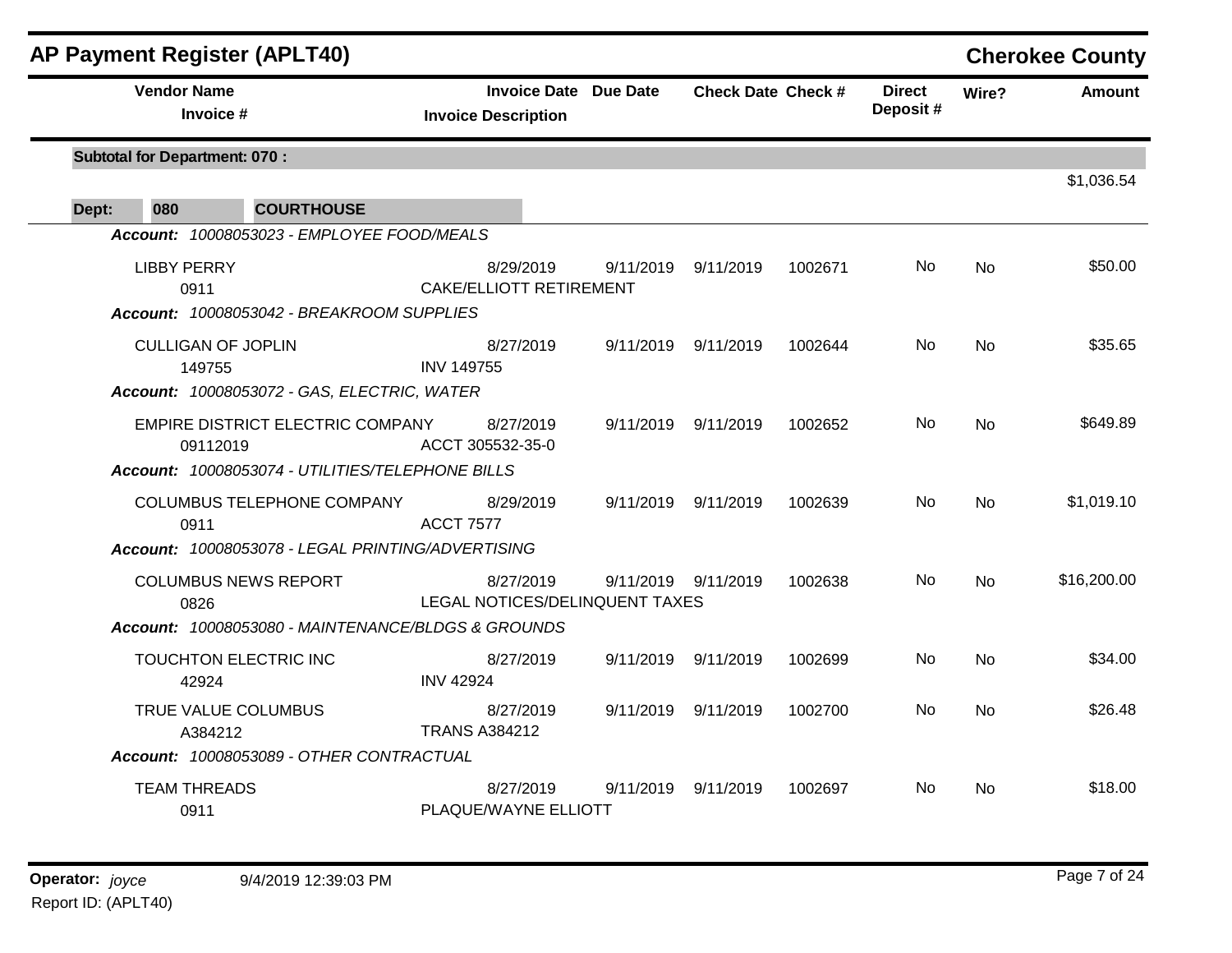|                                      | <b>AP Payment Register (APLT40)</b>                |                                                     |           |                           |         |                           |           | <b>Cherokee County</b> |
|--------------------------------------|----------------------------------------------------|-----------------------------------------------------|-----------|---------------------------|---------|---------------------------|-----------|------------------------|
|                                      | <b>Vendor Name</b><br>Invoice #                    | Invoice Date Due Date<br><b>Invoice Description</b> |           | <b>Check Date Check #</b> |         | <b>Direct</b><br>Deposit# | Wire?     | <b>Amount</b>          |
| <b>Subtotal for Department: 070:</b> |                                                    |                                                     |           |                           |         |                           |           | \$1,036.54             |
| 080<br>Dept:                         | <b>COURTHOUSE</b>                                  |                                                     |           |                           |         |                           |           |                        |
|                                      | Account: 10008053023 - EMPLOYEE FOOD/MEALS         |                                                     |           |                           |         |                           |           |                        |
|                                      | <b>LIBBY PERRY</b><br>0911                         | 8/29/2019<br>CAKE/ELLIOTT RETIREMENT                | 9/11/2019 | 9/11/2019                 | 1002671 | No.                       | <b>No</b> | \$50.00                |
|                                      | Account: 10008053042 - BREAKROOM SUPPLIES          |                                                     |           |                           |         |                           |           |                        |
|                                      | <b>CULLIGAN OF JOPLIN</b><br>149755                | 8/27/2019<br><b>INV 149755</b>                      |           | 9/11/2019 9/11/2019       | 1002644 | No                        | <b>No</b> | \$35.65                |
|                                      | Account: 10008053072 - GAS, ELECTRIC, WATER        |                                                     |           |                           |         |                           |           |                        |
|                                      | EMPIRE DISTRICT ELECTRIC COMPANY<br>09112019       | 8/27/2019<br>ACCT 305532-35-0                       |           | 9/11/2019 9/11/2019       | 1002652 | <b>No</b>                 | <b>No</b> | \$649.89               |
|                                      | Account: 10008053074 - UTILITIES/TELEPHONE BILLS   |                                                     |           |                           |         |                           |           |                        |
|                                      | COLUMBUS TELEPHONE COMPANY<br>0911                 | 8/29/2019<br><b>ACCT 7577</b>                       |           | 9/11/2019 9/11/2019       | 1002639 | <b>No</b>                 | No        | \$1,019.10             |
|                                      | Account: 10008053078 - LEGAL PRINTING/ADVERTISING  |                                                     |           |                           |         |                           |           |                        |
|                                      | <b>COLUMBUS NEWS REPORT</b><br>0826                | 8/27/2019<br>LEGAL NOTICES/DELINQUENT TAXES         |           | 9/11/2019 9/11/2019       | 1002638 | No.                       | No        | \$16,200.00            |
|                                      | Account: 10008053080 - MAINTENANCE/BLDGS & GROUNDS |                                                     |           |                           |         |                           |           |                        |
|                                      | TOUCHTON ELECTRIC INC<br>42924                     | 8/27/2019<br><b>INV 42924</b>                       |           | 9/11/2019 9/11/2019       | 1002699 | No.                       | <b>No</b> | \$34.00                |
|                                      | TRUE VALUE COLUMBUS<br>A384212                     | 8/27/2019<br><b>TRANS A384212</b>                   |           | 9/11/2019 9/11/2019       | 1002700 | No.                       | <b>No</b> | \$26.48                |
|                                      | Account: 10008053089 - OTHER CONTRACTUAL           |                                                     |           |                           |         |                           |           |                        |
|                                      | <b>TEAM THREADS</b><br>0911                        | 8/27/2019<br>PLAQUE/WAYNE ELLIOTT                   |           | 9/11/2019 9/11/2019       | 1002697 | No.                       | No        | \$18.00                |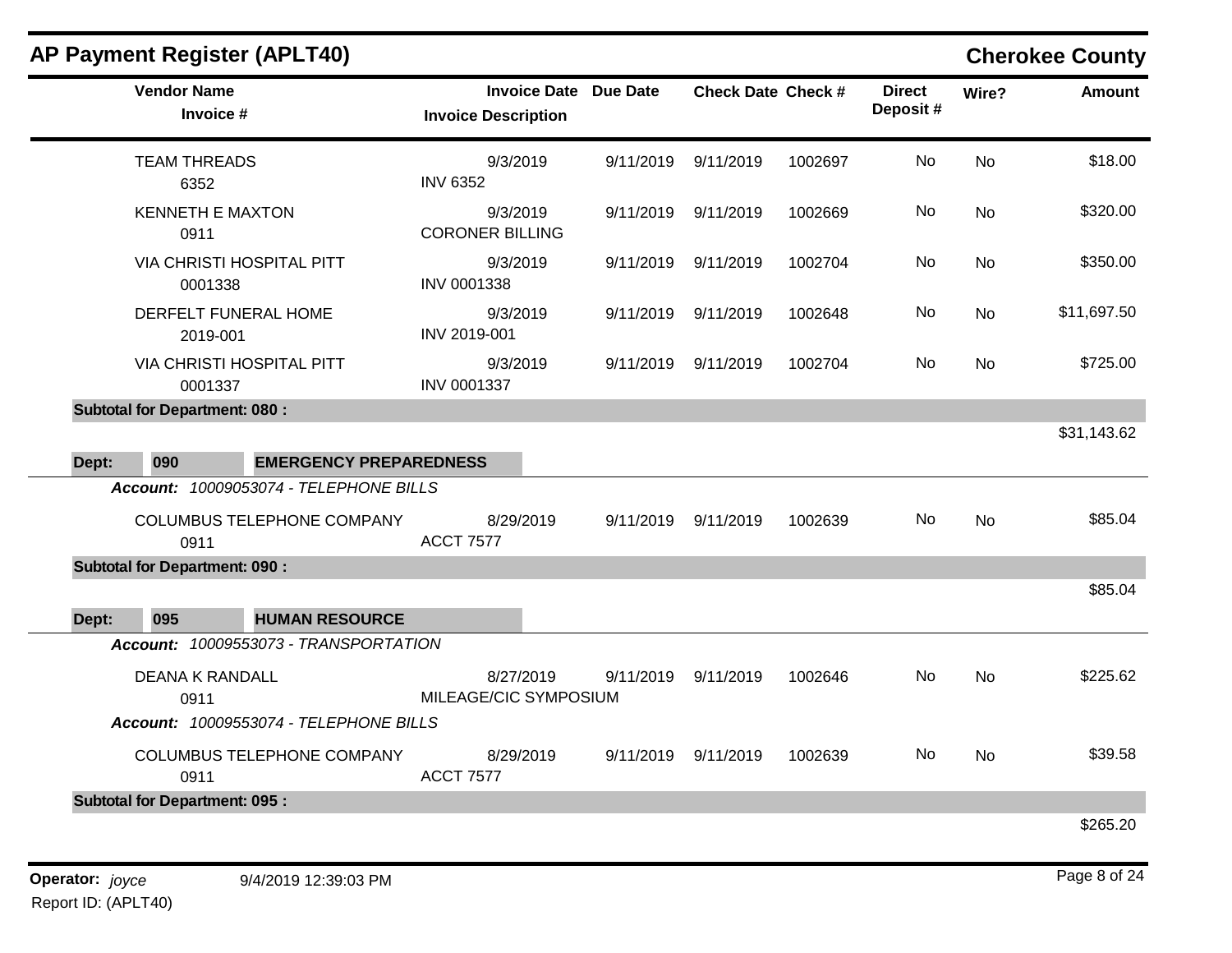# **AP Payment Register (APLT40) Cherokee County**

|       | <b>Vendor Name</b><br>Invoice #        | <b>Invoice Date</b><br><b>Invoice Description</b> | Due Date  | <b>Check Date Check #</b> |         | <b>Direct</b><br>Deposit# | Wire?     | <b>Amount</b> |
|-------|----------------------------------------|---------------------------------------------------|-----------|---------------------------|---------|---------------------------|-----------|---------------|
|       | <b>TEAM THREADS</b><br>6352            | 9/3/2019<br><b>INV 6352</b>                       | 9/11/2019 | 9/11/2019                 | 1002697 | No                        | No        | \$18.00       |
|       | <b>KENNETH E MAXTON</b><br>0911        | 9/3/2019<br><b>CORONER BILLING</b>                | 9/11/2019 | 9/11/2019                 | 1002669 | <b>No</b>                 | <b>No</b> | \$320.00      |
|       | VIA CHRISTI HOSPITAL PITT<br>0001338   | 9/3/2019<br>INV 0001338                           | 9/11/2019 | 9/11/2019                 | 1002704 | No                        | <b>No</b> | \$350.00      |
|       | DERFELT FUNERAL HOME<br>2019-001       | 9/3/2019<br>INV 2019-001                          | 9/11/2019 | 9/11/2019                 | 1002648 | No.                       | No        | \$11,697.50   |
|       | VIA CHRISTI HOSPITAL PITT<br>0001337   | 9/3/2019<br><b>INV 0001337</b>                    | 9/11/2019 | 9/11/2019                 | 1002704 | No                        | No        | \$725.00      |
|       | <b>Subtotal for Department: 080:</b>   |                                                   |           |                           |         |                           |           |               |
|       |                                        |                                                   |           |                           |         |                           |           | \$31,143.62   |
| Dept: | 090<br><b>EMERGENCY PREPAREDNESS</b>   |                                                   |           |                           |         |                           |           |               |
|       | Account: 10009053074 - TELEPHONE BILLS |                                                   |           |                           |         |                           |           |               |
|       | COLUMBUS TELEPHONE COMPANY<br>0911     | 8/29/2019<br><b>ACCT 7577</b>                     | 9/11/2019 | 9/11/2019                 | 1002639 | No.                       | No        | \$85.04       |
|       | <b>Subtotal for Department: 090:</b>   |                                                   |           |                           |         |                           |           |               |
|       |                                        |                                                   |           |                           |         |                           |           | \$85.04       |
| Dept: | 095<br><b>HUMAN RESOURCE</b>           |                                                   |           |                           |         |                           |           |               |
|       | Account: 10009553073 - TRANSPORTATION  |                                                   |           |                           |         |                           |           |               |
|       | <b>DEANA K RANDALL</b><br>0911         | 8/27/2019<br>MILEAGE/CIC SYMPOSIUM                | 9/11/2019 | 9/11/2019                 | 1002646 | No                        | No        | \$225.62      |
|       | Account: 10009553074 - TELEPHONE BILLS |                                                   |           |                           |         |                           |           |               |
|       | COLUMBUS TELEPHONE COMPANY<br>0911     | 8/29/2019<br><b>ACCT 7577</b>                     | 9/11/2019 | 9/11/2019                 | 1002639 | No                        | No        | \$39.58       |
|       | <b>Subtotal for Department: 095:</b>   |                                                   |           |                           |         |                           |           |               |
|       |                                        |                                                   |           |                           |         |                           |           | \$265.20      |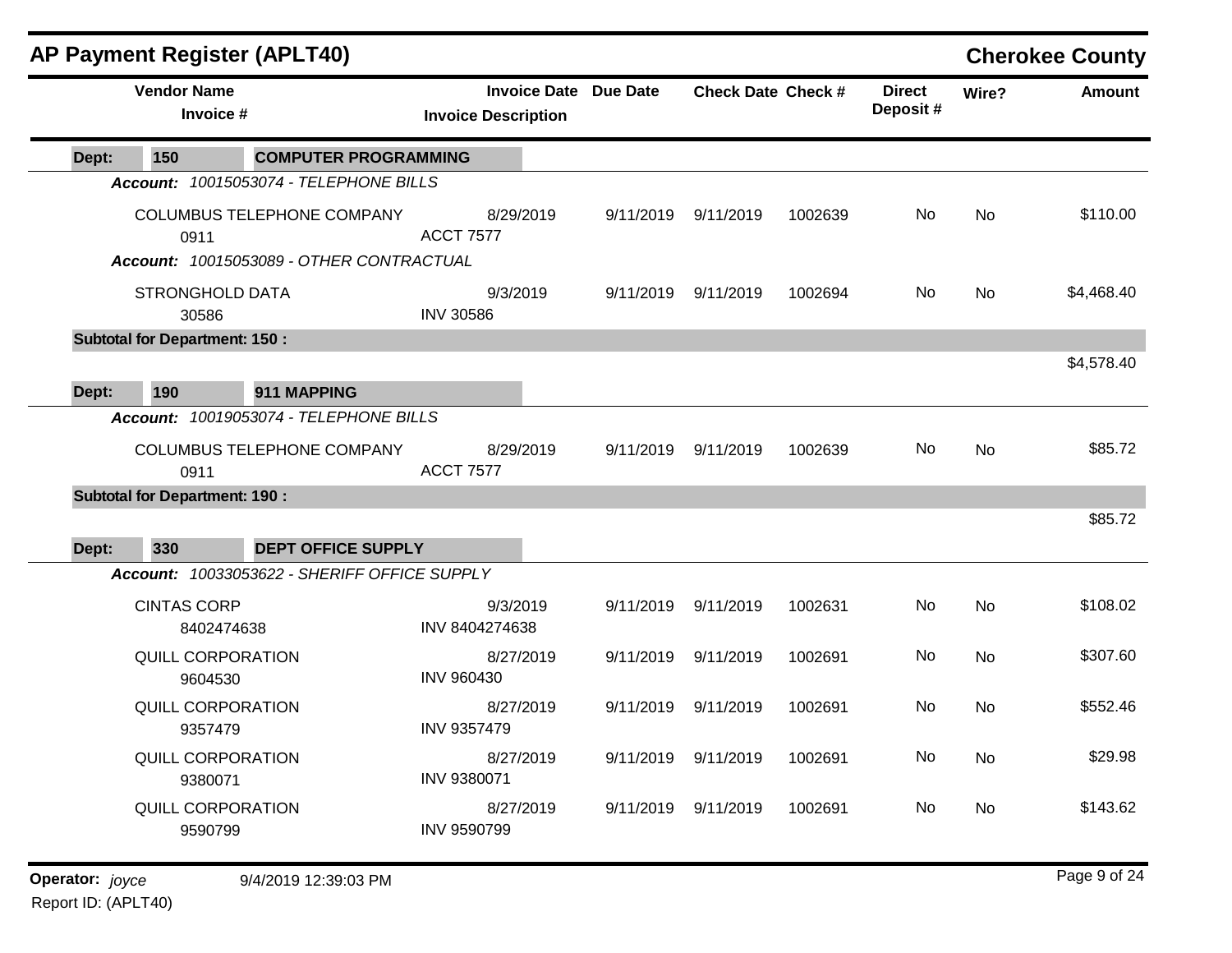| <b>Vendor Name</b><br><b>Invoice Date Due Date</b><br><b>Direct</b><br><b>Check Date Check #</b><br>Wire?<br>Deposit#<br>Invoice #<br><b>Invoice Description</b><br><b>COMPUTER PROGRAMMING</b><br>150<br>Dept:<br>Account: 10015053074 - TELEPHONE BILLS<br>No<br>COLUMBUS TELEPHONE COMPANY<br>8/29/2019<br>9/11/2019<br>No<br>9/11/2019<br>1002639<br><b>ACCT 7577</b><br>0911<br>Account: 10015053089 - OTHER CONTRACTUAL<br>No<br><b>STRONGHOLD DATA</b><br>9/3/2019<br>9/11/2019<br>1002694<br><b>No</b><br>9/11/2019<br><b>INV 30586</b><br>30586<br><b>Subtotal for Department: 150:</b><br>\$4,578.40<br>190<br>911 MAPPING<br>Dept:<br>Account: 10019053074 - TELEPHONE BILLS<br>No<br>COLUMBUS TELEPHONE COMPANY<br>8/29/2019<br>9/11/2019<br>1002639<br>No<br>9/11/2019<br><b>ACCT 7577</b><br>0911<br><b>Subtotal for Department: 190:</b><br>330<br><b>DEPT OFFICE SUPPLY</b><br>Dept:<br>Account: 10033053622 - SHERIFF OFFICE SUPPLY<br>No<br><b>CINTAS CORP</b><br>9/3/2019<br>9/11/2019<br>1002631<br>No<br>9/11/2019<br>INV 8404274638<br>8402474638<br>No<br>QUILL CORPORATION<br>8/27/2019<br>9/11/2019<br>9/11/2019<br>1002691<br>No<br><b>INV 960430</b><br>9604530<br>QUILL CORPORATION<br>No<br>8/27/2019<br>9/11/2019<br>9/11/2019<br><b>No</b><br>1002691<br><b>INV 9357479</b><br>9357479<br>No<br>QUILL CORPORATION<br>8/27/2019<br>9/11/2019<br>1002691<br>No<br>9/11/2019<br>INV 9380071<br>9380071<br>No<br>QUILL CORPORATION<br>8/27/2019<br>9/11/2019<br>9/11/2019<br>1002691<br>No<br>INV 9590799<br>9590799<br>Operator: joyce |  | <b>AP Payment Register (APLT40)</b> |  |  |  | <b>Cherokee County</b> |
|--------------------------------------------------------------------------------------------------------------------------------------------------------------------------------------------------------------------------------------------------------------------------------------------------------------------------------------------------------------------------------------------------------------------------------------------------------------------------------------------------------------------------------------------------------------------------------------------------------------------------------------------------------------------------------------------------------------------------------------------------------------------------------------------------------------------------------------------------------------------------------------------------------------------------------------------------------------------------------------------------------------------------------------------------------------------------------------------------------------------------------------------------------------------------------------------------------------------------------------------------------------------------------------------------------------------------------------------------------------------------------------------------------------------------------------------------------------------------------------------------------------------------------------------------------------------|--|-------------------------------------|--|--|--|------------------------|
|                                                                                                                                                                                                                                                                                                                                                                                                                                                                                                                                                                                                                                                                                                                                                                                                                                                                                                                                                                                                                                                                                                                                                                                                                                                                                                                                                                                                                                                                                                                                                                    |  |                                     |  |  |  | <b>Amount</b>          |
|                                                                                                                                                                                                                                                                                                                                                                                                                                                                                                                                                                                                                                                                                                                                                                                                                                                                                                                                                                                                                                                                                                                                                                                                                                                                                                                                                                                                                                                                                                                                                                    |  |                                     |  |  |  |                        |
|                                                                                                                                                                                                                                                                                                                                                                                                                                                                                                                                                                                                                                                                                                                                                                                                                                                                                                                                                                                                                                                                                                                                                                                                                                                                                                                                                                                                                                                                                                                                                                    |  |                                     |  |  |  |                        |
|                                                                                                                                                                                                                                                                                                                                                                                                                                                                                                                                                                                                                                                                                                                                                                                                                                                                                                                                                                                                                                                                                                                                                                                                                                                                                                                                                                                                                                                                                                                                                                    |  |                                     |  |  |  | \$110.00               |
|                                                                                                                                                                                                                                                                                                                                                                                                                                                                                                                                                                                                                                                                                                                                                                                                                                                                                                                                                                                                                                                                                                                                                                                                                                                                                                                                                                                                                                                                                                                                                                    |  |                                     |  |  |  |                        |
|                                                                                                                                                                                                                                                                                                                                                                                                                                                                                                                                                                                                                                                                                                                                                                                                                                                                                                                                                                                                                                                                                                                                                                                                                                                                                                                                                                                                                                                                                                                                                                    |  |                                     |  |  |  |                        |
|                                                                                                                                                                                                                                                                                                                                                                                                                                                                                                                                                                                                                                                                                                                                                                                                                                                                                                                                                                                                                                                                                                                                                                                                                                                                                                                                                                                                                                                                                                                                                                    |  |                                     |  |  |  | \$4,468.40             |
|                                                                                                                                                                                                                                                                                                                                                                                                                                                                                                                                                                                                                                                                                                                                                                                                                                                                                                                                                                                                                                                                                                                                                                                                                                                                                                                                                                                                                                                                                                                                                                    |  |                                     |  |  |  |                        |
|                                                                                                                                                                                                                                                                                                                                                                                                                                                                                                                                                                                                                                                                                                                                                                                                                                                                                                                                                                                                                                                                                                                                                                                                                                                                                                                                                                                                                                                                                                                                                                    |  |                                     |  |  |  |                        |
|                                                                                                                                                                                                                                                                                                                                                                                                                                                                                                                                                                                                                                                                                                                                                                                                                                                                                                                                                                                                                                                                                                                                                                                                                                                                                                                                                                                                                                                                                                                                                                    |  |                                     |  |  |  |                        |
|                                                                                                                                                                                                                                                                                                                                                                                                                                                                                                                                                                                                                                                                                                                                                                                                                                                                                                                                                                                                                                                                                                                                                                                                                                                                                                                                                                                                                                                                                                                                                                    |  |                                     |  |  |  |                        |
|                                                                                                                                                                                                                                                                                                                                                                                                                                                                                                                                                                                                                                                                                                                                                                                                                                                                                                                                                                                                                                                                                                                                                                                                                                                                                                                                                                                                                                                                                                                                                                    |  |                                     |  |  |  |                        |
|                                                                                                                                                                                                                                                                                                                                                                                                                                                                                                                                                                                                                                                                                                                                                                                                                                                                                                                                                                                                                                                                                                                                                                                                                                                                                                                                                                                                                                                                                                                                                                    |  |                                     |  |  |  | \$85.72                |
|                                                                                                                                                                                                                                                                                                                                                                                                                                                                                                                                                                                                                                                                                                                                                                                                                                                                                                                                                                                                                                                                                                                                                                                                                                                                                                                                                                                                                                                                                                                                                                    |  |                                     |  |  |  |                        |
|                                                                                                                                                                                                                                                                                                                                                                                                                                                                                                                                                                                                                                                                                                                                                                                                                                                                                                                                                                                                                                                                                                                                                                                                                                                                                                                                                                                                                                                                                                                                                                    |  |                                     |  |  |  | \$85.72                |
|                                                                                                                                                                                                                                                                                                                                                                                                                                                                                                                                                                                                                                                                                                                                                                                                                                                                                                                                                                                                                                                                                                                                                                                                                                                                                                                                                                                                                                                                                                                                                                    |  |                                     |  |  |  |                        |
|                                                                                                                                                                                                                                                                                                                                                                                                                                                                                                                                                                                                                                                                                                                                                                                                                                                                                                                                                                                                                                                                                                                                                                                                                                                                                                                                                                                                                                                                                                                                                                    |  |                                     |  |  |  |                        |
|                                                                                                                                                                                                                                                                                                                                                                                                                                                                                                                                                                                                                                                                                                                                                                                                                                                                                                                                                                                                                                                                                                                                                                                                                                                                                                                                                                                                                                                                                                                                                                    |  |                                     |  |  |  | \$108.02               |
|                                                                                                                                                                                                                                                                                                                                                                                                                                                                                                                                                                                                                                                                                                                                                                                                                                                                                                                                                                                                                                                                                                                                                                                                                                                                                                                                                                                                                                                                                                                                                                    |  |                                     |  |  |  |                        |
|                                                                                                                                                                                                                                                                                                                                                                                                                                                                                                                                                                                                                                                                                                                                                                                                                                                                                                                                                                                                                                                                                                                                                                                                                                                                                                                                                                                                                                                                                                                                                                    |  |                                     |  |  |  | \$307.60               |
|                                                                                                                                                                                                                                                                                                                                                                                                                                                                                                                                                                                                                                                                                                                                                                                                                                                                                                                                                                                                                                                                                                                                                                                                                                                                                                                                                                                                                                                                                                                                                                    |  |                                     |  |  |  |                        |
|                                                                                                                                                                                                                                                                                                                                                                                                                                                                                                                                                                                                                                                                                                                                                                                                                                                                                                                                                                                                                                                                                                                                                                                                                                                                                                                                                                                                                                                                                                                                                                    |  |                                     |  |  |  | \$552.46               |
|                                                                                                                                                                                                                                                                                                                                                                                                                                                                                                                                                                                                                                                                                                                                                                                                                                                                                                                                                                                                                                                                                                                                                                                                                                                                                                                                                                                                                                                                                                                                                                    |  |                                     |  |  |  |                        |
|                                                                                                                                                                                                                                                                                                                                                                                                                                                                                                                                                                                                                                                                                                                                                                                                                                                                                                                                                                                                                                                                                                                                                                                                                                                                                                                                                                                                                                                                                                                                                                    |  |                                     |  |  |  | \$29.98                |
|                                                                                                                                                                                                                                                                                                                                                                                                                                                                                                                                                                                                                                                                                                                                                                                                                                                                                                                                                                                                                                                                                                                                                                                                                                                                                                                                                                                                                                                                                                                                                                    |  |                                     |  |  |  |                        |
|                                                                                                                                                                                                                                                                                                                                                                                                                                                                                                                                                                                                                                                                                                                                                                                                                                                                                                                                                                                                                                                                                                                                                                                                                                                                                                                                                                                                                                                                                                                                                                    |  |                                     |  |  |  | \$143.62               |
|                                                                                                                                                                                                                                                                                                                                                                                                                                                                                                                                                                                                                                                                                                                                                                                                                                                                                                                                                                                                                                                                                                                                                                                                                                                                                                                                                                                                                                                                                                                                                                    |  |                                     |  |  |  |                        |
|                                                                                                                                                                                                                                                                                                                                                                                                                                                                                                                                                                                                                                                                                                                                                                                                                                                                                                                                                                                                                                                                                                                                                                                                                                                                                                                                                                                                                                                                                                                                                                    |  | 9/4/2019 12:39:03 PM                |  |  |  | Page 9 of 24           |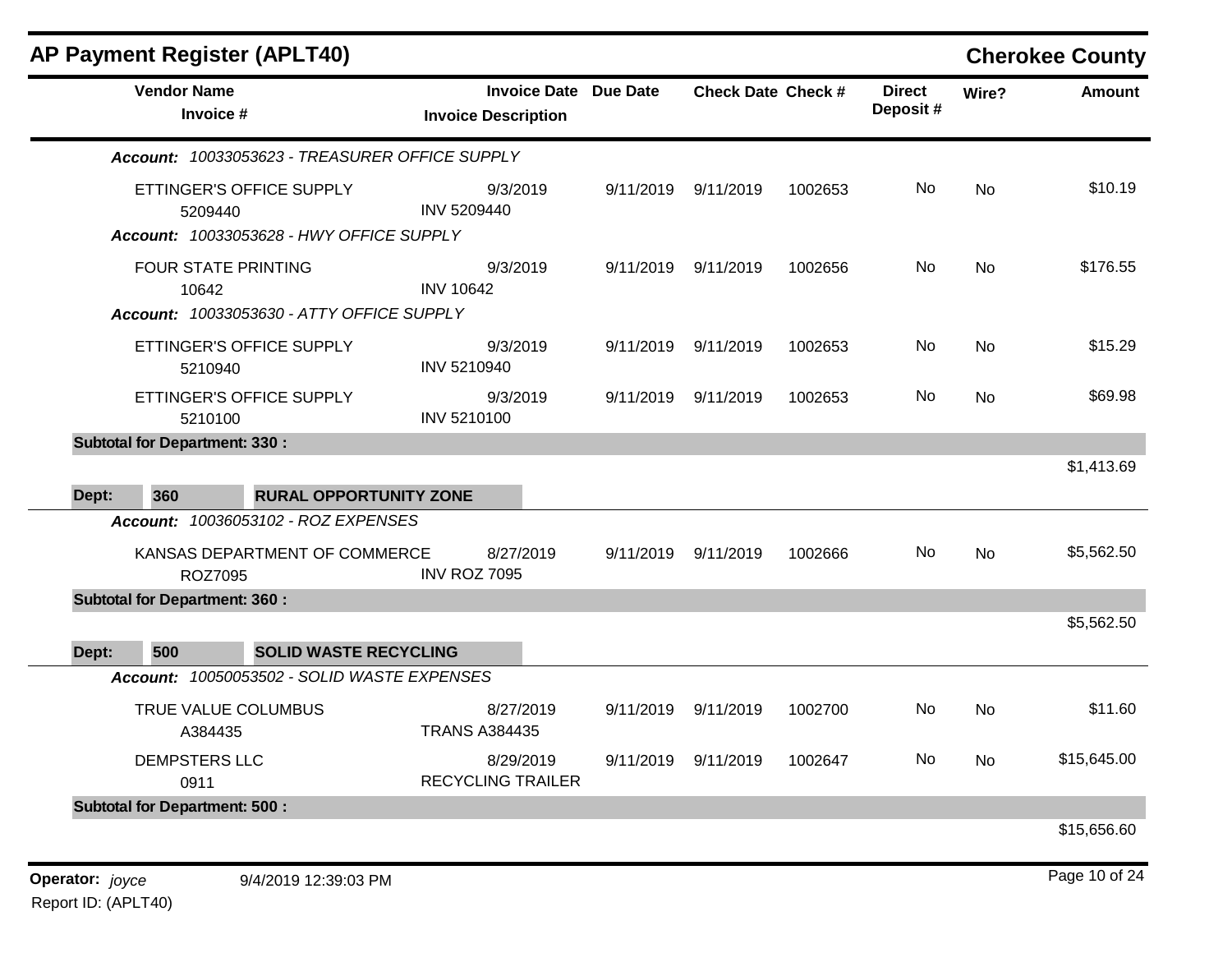| <b>AP Payment Register (APLT40)</b>             |                                                   |                 |                           |         |                           |       | <b>Cherokee County</b> |
|-------------------------------------------------|---------------------------------------------------|-----------------|---------------------------|---------|---------------------------|-------|------------------------|
| <b>Vendor Name</b><br>Invoice #                 | <b>Invoice Date</b><br><b>Invoice Description</b> | <b>Due Date</b> | <b>Check Date Check #</b> |         | <b>Direct</b><br>Deposit# | Wire? | <b>Amount</b>          |
| Account: 10033053623 - TREASURER OFFICE SUPPLY  |                                                   |                 |                           |         |                           |       |                        |
| ETTINGER'S OFFICE SUPPLY<br>5209440             | 9/3/2019<br>INV 5209440                           | 9/11/2019       | 9/11/2019                 | 1002653 | No                        | No    | \$10.19                |
| Account: 10033053628 - HWY OFFICE SUPPLY        |                                                   |                 |                           |         |                           |       |                        |
| <b>FOUR STATE PRINTING</b><br>10642             | 9/3/2019<br><b>INV 10642</b>                      | 9/11/2019       | 9/11/2019                 | 1002656 | No                        | No    | \$176.55               |
| Account: 10033053630 - ATTY OFFICE SUPPLY       |                                                   |                 |                           |         |                           |       |                        |
| ETTINGER'S OFFICE SUPPLY<br>5210940             | 9/3/2019<br>INV 5210940                           | 9/11/2019       | 9/11/2019                 | 1002653 | No                        | No    | \$15.29                |
| ETTINGER'S OFFICE SUPPLY<br>5210100             | 9/3/2019<br>INV 5210100                           | 9/11/2019       | 9/11/2019                 | 1002653 | No                        | No    | \$69.98                |
| <b>Subtotal for Department: 330:</b>            |                                                   |                 |                           |         |                           |       |                        |
| 360<br><b>RURAL OPPORTUNITY ZONE</b><br>Dept:   |                                                   |                 |                           |         |                           |       | \$1,413.69             |
| Account: 10036053102 - ROZ EXPENSES             |                                                   |                 |                           |         |                           |       |                        |
| KANSAS DEPARTMENT OF COMMERCE<br><b>ROZ7095</b> | 8/27/2019<br><b>INV ROZ 7095</b>                  | 9/11/2019       | 9/11/2019                 | 1002666 | No                        | No    | \$5,562.50             |
| <b>Subtotal for Department: 360:</b>            |                                                   |                 |                           |         |                           |       |                        |
| 500<br><b>SOLID WASTE RECYCLING</b><br>Dept:    |                                                   |                 |                           |         |                           |       | \$5,562.50             |
| Account: 10050053502 - SOLID WASTE EXPENSES     |                                                   |                 |                           |         |                           |       |                        |
| TRUE VALUE COLUMBUS<br>A384435                  | 8/27/2019<br><b>TRANS A384435</b>                 | 9/11/2019       | 9/11/2019                 | 1002700 | No                        | No    | \$11.60                |
| DEMPSTERS LLC<br>0911                           | 8/29/2019<br><b>RECYCLING TRAILER</b>             | 9/11/2019       | 9/11/2019                 | 1002647 | No                        | No    | \$15,645.00            |
| <b>Subtotal for Department: 500:</b>            |                                                   |                 |                           |         |                           |       |                        |
|                                                 |                                                   |                 |                           |         |                           |       | \$15,656.60            |
| Operator: joyce<br>9/4/2019 12:39:03 PM         |                                                   |                 |                           |         |                           |       | Page 10 of 24          |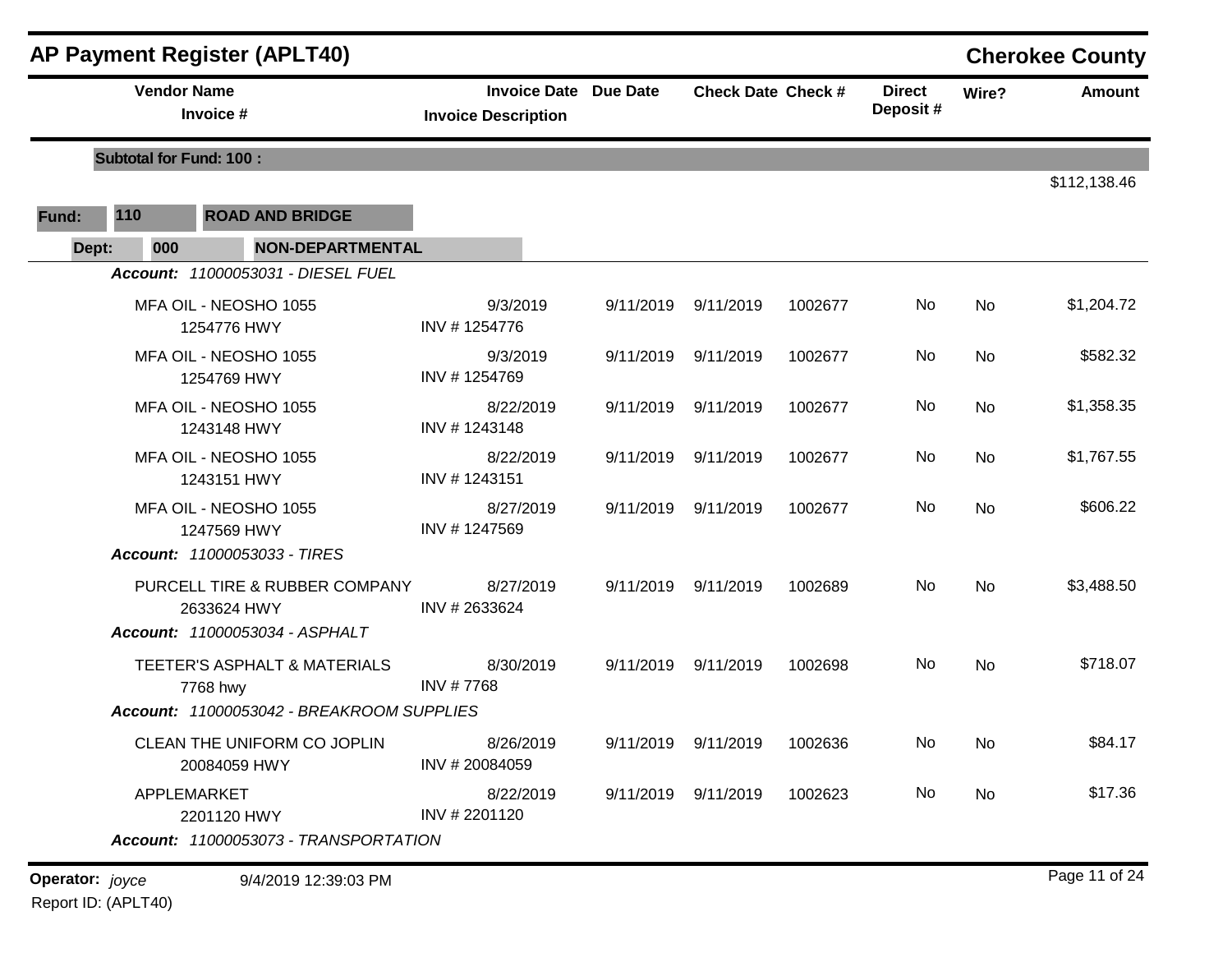|                 | <b>AP Payment Register (APLT40)</b> |                                              |                                                            |           |                           |         |                           |           | <b>Cherokee County</b> |
|-----------------|-------------------------------------|----------------------------------------------|------------------------------------------------------------|-----------|---------------------------|---------|---------------------------|-----------|------------------------|
|                 | <b>Vendor Name</b>                  | Invoice #                                    | <b>Invoice Date Due Date</b><br><b>Invoice Description</b> |           | <b>Check Date Check #</b> |         | <b>Direct</b><br>Deposit# | Wire?     | <b>Amount</b>          |
|                 | <b>Subtotal for Fund: 100:</b>      |                                              |                                                            |           |                           |         |                           |           |                        |
| Fund:           | 110                                 | <b>ROAD AND BRIDGE</b>                       |                                                            |           |                           |         |                           |           | \$112,138.46           |
| Dept:           | 000                                 | <b>NON-DEPARTMENTAL</b>                      |                                                            |           |                           |         |                           |           |                        |
|                 |                                     | Account: 11000053031 - DIESEL FUEL           |                                                            |           |                           |         |                           |           |                        |
|                 |                                     | MFA OIL - NEOSHO 1055<br>1254776 HWY         | 9/3/2019<br>INV #1254776                                   | 9/11/2019 | 9/11/2019                 | 1002677 | No                        | No        | \$1,204.72             |
|                 |                                     | MFA OIL - NEOSHO 1055<br>1254769 HWY         | 9/3/2019<br>INV #1254769                                   |           | 9/11/2019 9/11/2019       | 1002677 | No                        | No        | \$582.32               |
|                 |                                     | MFA OIL - NEOSHO 1055<br>1243148 HWY         | 8/22/2019<br>INV #1243148                                  |           | 9/11/2019 9/11/2019       | 1002677 | No                        | No        | \$1,358.35             |
|                 |                                     | MFA OIL - NEOSHO 1055<br>1243151 HWY         | 8/22/2019<br>INV #1243151                                  | 9/11/2019 | 9/11/2019                 | 1002677 | No                        | No        | \$1,767.55             |
|                 |                                     | MFA OIL - NEOSHO 1055<br>1247569 HWY         | 8/27/2019<br>INV #1247569                                  | 9/11/2019 | 9/11/2019                 | 1002677 | No                        | No        | \$606.22               |
|                 |                                     | Account: 11000053033 - TIRES                 |                                                            |           |                           |         |                           |           |                        |
|                 |                                     | PURCELL TIRE & RUBBER COMPANY<br>2633624 HWY | 8/27/2019<br>INV #2633624                                  | 9/11/2019 | 9/11/2019                 | 1002689 | No                        | <b>No</b> | \$3,488.50             |
|                 |                                     | Account: 11000053034 - ASPHALT               |                                                            |           |                           |         |                           |           |                        |
|                 |                                     | TEETER'S ASPHALT & MATERIALS<br>7768 hwy     | 8/30/2019<br>INV #7768                                     | 9/11/2019 | 9/11/2019                 | 1002698 | No                        | <b>No</b> | \$718.07               |
|                 |                                     | Account: 11000053042 - BREAKROOM SUPPLIES    |                                                            |           |                           |         |                           |           |                        |
|                 |                                     | CLEAN THE UNIFORM CO JOPLIN<br>20084059 HWY  | 8/26/2019<br>INV #20084059                                 |           | 9/11/2019 9/11/2019       | 1002636 | No.                       | No        | \$84.17                |
|                 |                                     | APPLEMARKET<br>2201120 HWY                   | 8/22/2019<br>INV # 2201120                                 |           | 9/11/2019 9/11/2019       | 1002623 | No.                       | No        | \$17.36                |
|                 |                                     | Account: 11000053073 - TRANSPORTATION        |                                                            |           |                           |         |                           |           |                        |
| Operator: joyce |                                     | 9/4/2019 12:39:03 PM                         |                                                            |           |                           |         |                           |           | Page 11 of 24          |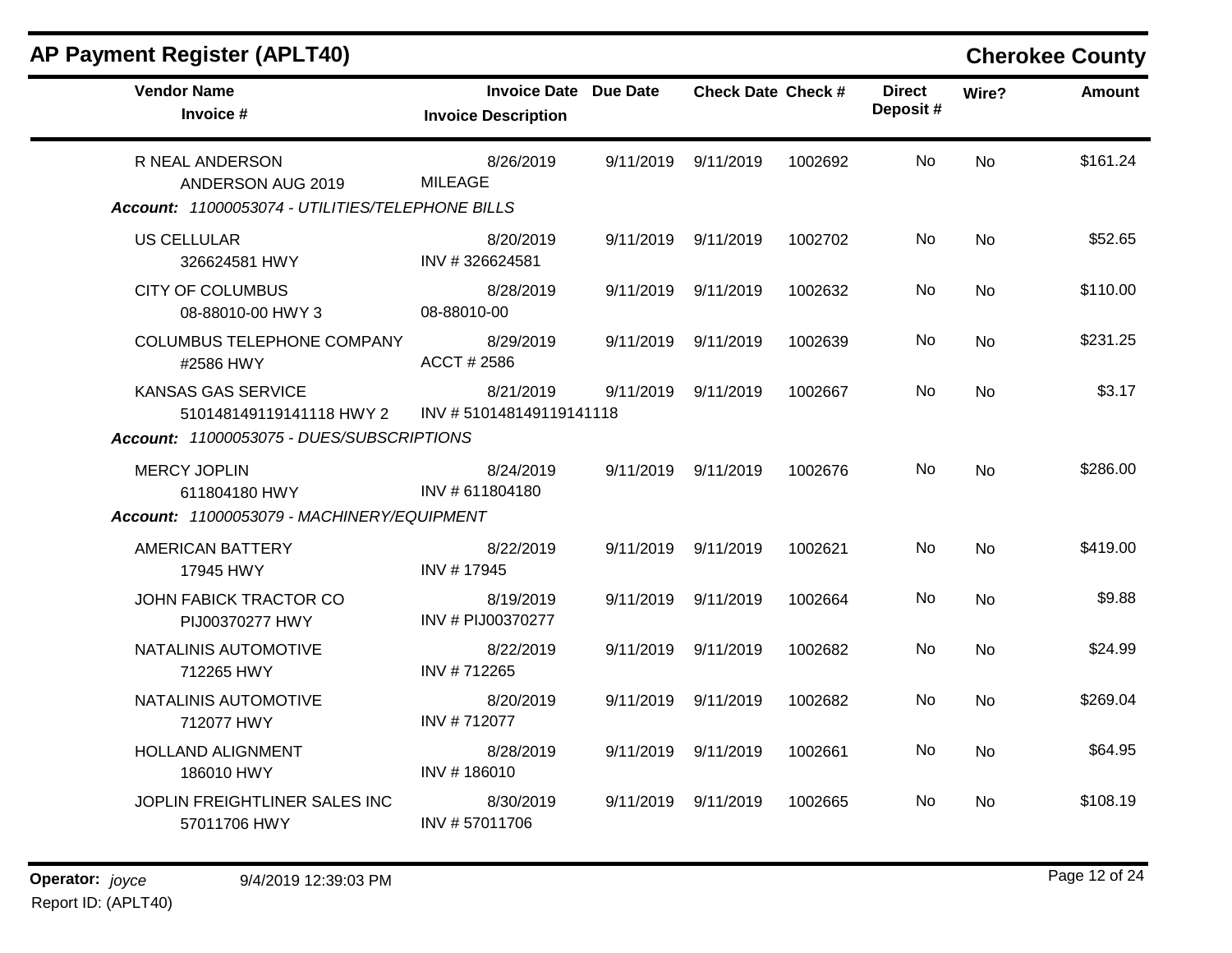| <b>AP Payment Register (APLT40)</b>                                                                |                                                            |           |                           |         |                           |           | <b>Cherokee County</b> |
|----------------------------------------------------------------------------------------------------|------------------------------------------------------------|-----------|---------------------------|---------|---------------------------|-----------|------------------------|
| <b>Vendor Name</b><br>Invoice #                                                                    | <b>Invoice Date Due Date</b><br><b>Invoice Description</b> |           | <b>Check Date Check #</b> |         | <b>Direct</b><br>Deposit# | Wire?     | <b>Amount</b>          |
| R NEAL ANDERSON<br>ANDERSON AUG 2019<br>Account: 11000053074 - UTILITIES/TELEPHONE BILLS           | 8/26/2019<br><b>MILEAGE</b>                                |           | 9/11/2019 9/11/2019       | 1002692 | No.                       | <b>No</b> | \$161.24               |
| <b>US CELLULAR</b><br>326624581 HWY                                                                | 8/20/2019<br>INV #326624581                                |           | 9/11/2019 9/11/2019       | 1002702 | No.                       | <b>No</b> | \$52.65                |
| <b>CITY OF COLUMBUS</b><br>08-88010-00 HWY 3                                                       | 8/28/2019<br>08-88010-00                                   |           | 9/11/2019 9/11/2019       | 1002632 | No.                       | <b>No</b> | \$110.00               |
| <b>COLUMBUS TELEPHONE COMPANY</b><br>#2586 HWY                                                     | 8/29/2019<br>ACCT # 2586                                   |           | 9/11/2019 9/11/2019       | 1002639 | No.                       | <b>No</b> | \$231.25               |
| <b>KANSAS GAS SERVICE</b><br>510148149119141118 HWY 2<br>Account: 11000053075 - DUES/SUBSCRIPTIONS | 8/21/2019<br>INV #510148149119141118                       | 9/11/2019 | 9/11/2019                 | 1002667 | No.                       | <b>No</b> | \$3.17                 |
| <b>MERCY JOPLIN</b><br>611804180 HWY                                                               | 8/24/2019<br>INV #611804180                                |           | 9/11/2019 9/11/2019       | 1002676 | No                        | <b>No</b> | \$286.00               |
| Account: 11000053079 - MACHINERY/EQUIPMENT<br>AMERICAN BATTERY                                     | 8/22/2019                                                  |           | 9/11/2019 9/11/2019       | 1002621 | No                        | <b>No</b> | \$419.00               |
| 17945 HWY                                                                                          | INV #17945                                                 |           |                           |         |                           |           |                        |
| JOHN FABICK TRACTOR CO<br>PIJ00370277 HWY                                                          | 8/19/2019<br>INV # PIJ00370277                             |           | 9/11/2019 9/11/2019       | 1002664 | No                        | <b>No</b> | \$9.88                 |
| NATALINIS AUTOMOTIVE<br>712265 HWY                                                                 | 8/22/2019<br>INV #712265                                   |           | 9/11/2019 9/11/2019       | 1002682 | No                        | No        | \$24.99                |
| NATALINIS AUTOMOTIVE<br>712077 HWY                                                                 | 8/20/2019<br>INV #712077                                   |           | 9/11/2019 9/11/2019       | 1002682 | No.                       | No        | \$269.04               |
| <b>HOLLAND ALIGNMENT</b><br>186010 HWY                                                             | 8/28/2019<br>INV #186010                                   | 9/11/2019 | 9/11/2019                 | 1002661 | No                        | <b>No</b> | \$64.95                |
| JOPLIN FREIGHTLINER SALES INC<br>57011706 HWY                                                      | 8/30/2019<br>INV #57011706                                 | 9/11/2019 | 9/11/2019                 | 1002665 | No.                       | No        | \$108.19               |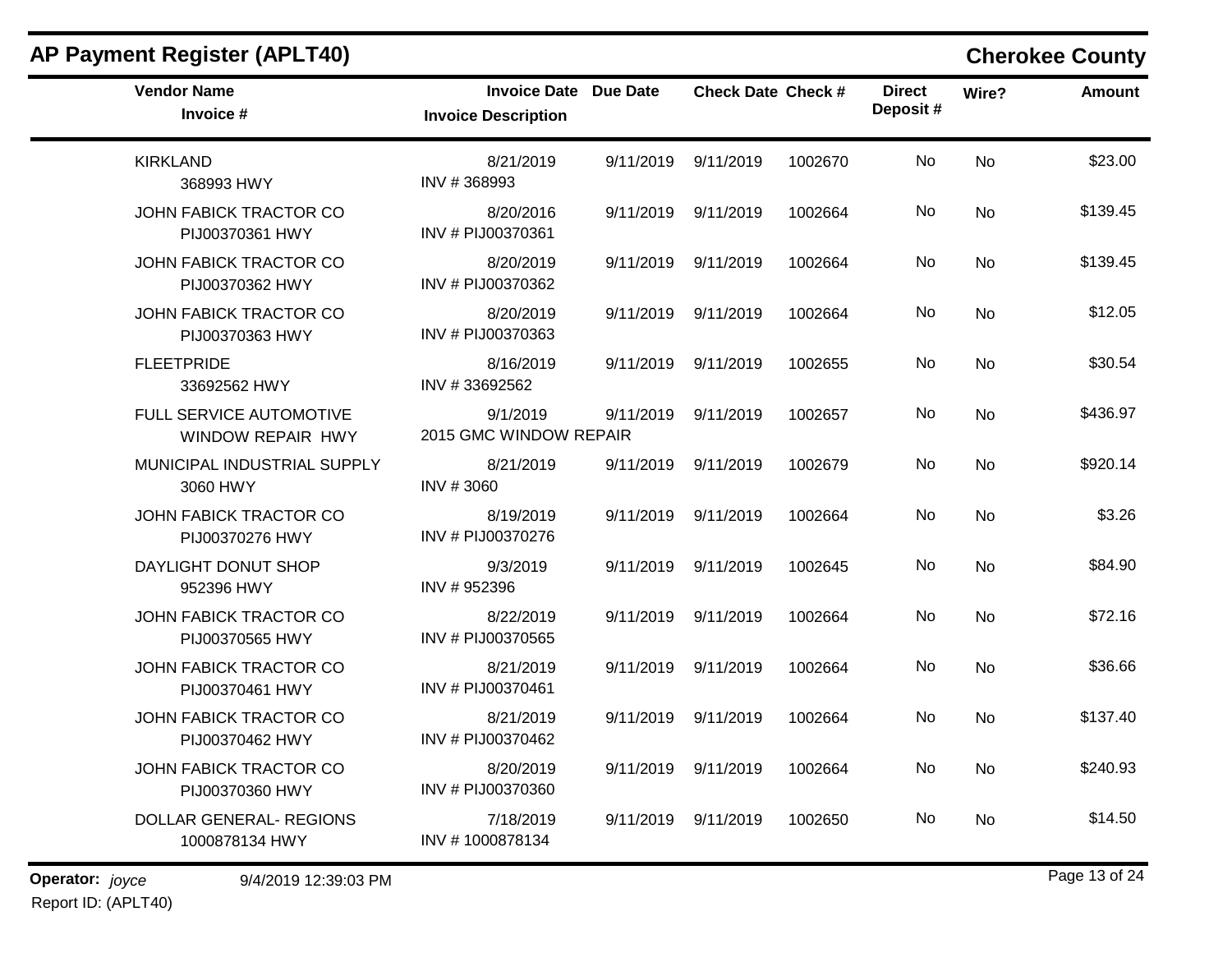| <b>AP Payment Register (APLT40)</b>              |                                                            |           |                           |         |                           |           | <b>Cherokee County</b> |
|--------------------------------------------------|------------------------------------------------------------|-----------|---------------------------|---------|---------------------------|-----------|------------------------|
| <b>Vendor Name</b><br>Invoice #                  | <b>Invoice Date Due Date</b><br><b>Invoice Description</b> |           | <b>Check Date Check #</b> |         | <b>Direct</b><br>Deposit# | Wire?     | <b>Amount</b>          |
| <b>KIRKLAND</b><br>368993 HWY                    | 8/21/2019<br>INV #368993                                   | 9/11/2019 | 9/11/2019                 | 1002670 | No                        | No        | \$23.00                |
| <b>JOHN FABICK TRACTOR CO</b><br>PIJ00370361 HWY | 8/20/2016<br>INV # PIJ00370361                             | 9/11/2019 | 9/11/2019                 | 1002664 | No                        | No        | \$139.45               |
| <b>JOHN FABICK TRACTOR CO</b><br>PIJ00370362 HWY | 8/20/2019<br>INV # PIJ00370362                             | 9/11/2019 | 9/11/2019                 | 1002664 | No                        | No        | \$139.45               |
| JOHN FABICK TRACTOR CO<br>PIJ00370363 HWY        | 8/20/2019<br>INV # PIJ00370363                             | 9/11/2019 | 9/11/2019                 | 1002664 | No                        | No        | \$12.05                |
| <b>FLEETPRIDE</b><br>33692562 HWY                | 8/16/2019<br>INV #33692562                                 | 9/11/2019 | 9/11/2019                 | 1002655 | No                        | No        | \$30.54                |
| FULL SERVICE AUTOMOTIVE<br>WINDOW REPAIR HWY     | 9/1/2019<br>2015 GMC WINDOW REPAIR                         | 9/11/2019 | 9/11/2019                 | 1002657 | No                        | <b>No</b> | \$436.97               |
| MUNICIPAL INDUSTRIAL SUPPLY<br>3060 HWY          | 8/21/2019<br>INV #3060                                     | 9/11/2019 | 9/11/2019                 | 1002679 | No                        | No        | \$920.14               |
| JOHN FABICK TRACTOR CO<br>PIJ00370276 HWY        | 8/19/2019<br>INV # PIJ00370276                             | 9/11/2019 | 9/11/2019                 | 1002664 | No                        | No        | \$3.26                 |
| DAYLIGHT DONUT SHOP<br>952396 HWY                | 9/3/2019<br>INV #952396                                    | 9/11/2019 | 9/11/2019                 | 1002645 | No                        | No        | \$84.90                |
| JOHN FABICK TRACTOR CO<br>PIJ00370565 HWY        | 8/22/2019<br>INV # PIJ00370565                             | 9/11/2019 | 9/11/2019                 | 1002664 | No                        | No        | \$72.16                |
| JOHN FABICK TRACTOR CO<br>PIJ00370461 HWY        | 8/21/2019<br>INV # PIJ00370461                             | 9/11/2019 | 9/11/2019                 | 1002664 | No                        | No        | \$36.66                |
| JOHN FABICK TRACTOR CO<br>PIJ00370462 HWY        | 8/21/2019<br>INV # PIJ00370462                             | 9/11/2019 | 9/11/2019                 | 1002664 | No                        | No        | \$137.40               |
| JOHN FABICK TRACTOR CO<br>PIJ00370360 HWY        | 8/20/2019<br>INV # PIJ00370360                             | 9/11/2019 | 9/11/2019                 | 1002664 | No                        | No        | \$240.93               |
| <b>DOLLAR GENERAL- REGIONS</b><br>1000878134 HWY | 7/18/2019<br>INV #1000878134                               | 9/11/2019 | 9/11/2019                 | 1002650 | No                        | No        | \$14.50                |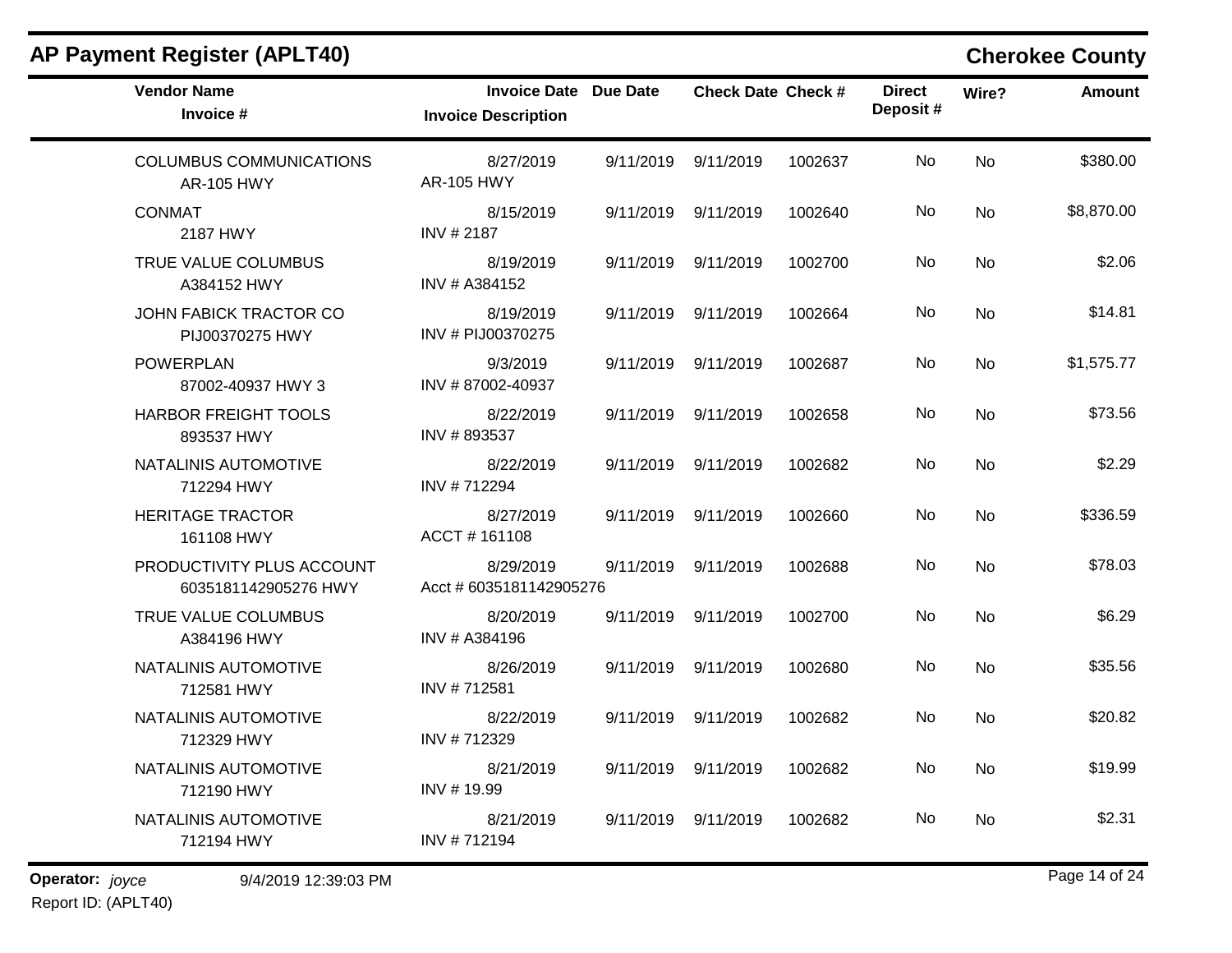| <b>AP Payment Register (APLT40)</b>                 |                                                            |           |                           |         |                           |           | <b>Cherokee County</b> |
|-----------------------------------------------------|------------------------------------------------------------|-----------|---------------------------|---------|---------------------------|-----------|------------------------|
| <b>Vendor Name</b><br>Invoice #                     | <b>Invoice Date Due Date</b><br><b>Invoice Description</b> |           | <b>Check Date Check #</b> |         | <b>Direct</b><br>Deposit# | Wire?     | Amount                 |
| <b>COLUMBUS COMMUNICATIONS</b><br><b>AR-105 HWY</b> | 8/27/2019<br><b>AR-105 HWY</b>                             | 9/11/2019 | 9/11/2019                 | 1002637 | No                        | <b>No</b> | \$380.00               |
| <b>CONMAT</b><br>2187 HWY                           | 8/15/2019<br>INV # 2187                                    | 9/11/2019 | 9/11/2019                 | 1002640 | No                        | No        | \$8,870.00             |
| TRUE VALUE COLUMBUS<br>A384152 HWY                  | 8/19/2019<br>INV # A384152                                 |           | 9/11/2019 9/11/2019       | 1002700 | No                        | No        | \$2.06                 |
| JOHN FABICK TRACTOR CO<br>PIJ00370275 HWY           | 8/19/2019<br>INV # PIJ00370275                             | 9/11/2019 | 9/11/2019                 | 1002664 | No                        | No        | \$14.81                |
| <b>POWERPLAN</b><br>87002-40937 HWY 3               | 9/3/2019<br>INV #87002-40937                               | 9/11/2019 | 9/11/2019                 | 1002687 | No                        | <b>No</b> | \$1,575.77             |
| HARBOR FREIGHT TOOLS<br>893537 HWY                  | 8/22/2019<br>INV #893537                                   | 9/11/2019 | 9/11/2019                 | 1002658 | No                        | No        | \$73.56                |
| NATALINIS AUTOMOTIVE<br>712294 HWY                  | 8/22/2019<br>INV #712294                                   | 9/11/2019 | 9/11/2019                 | 1002682 | No                        | No        | \$2.29                 |
| <b>HERITAGE TRACTOR</b><br>161108 HWY               | 8/27/2019<br>ACCT#161108                                   | 9/11/2019 | 9/11/2019                 | 1002660 | No                        | <b>No</b> | \$336.59               |
| PRODUCTIVITY PLUS ACCOUNT<br>6035181142905276 HWY   | 8/29/2019<br>Acct # 6035181142905276                       | 9/11/2019 | 9/11/2019                 | 1002688 | No                        | <b>No</b> | \$78.03                |
| TRUE VALUE COLUMBUS<br>A384196 HWY                  | 8/20/2019<br>INV # A384196                                 | 9/11/2019 | 9/11/2019                 | 1002700 | No                        | No        | \$6.29                 |
| NATALINIS AUTOMOTIVE<br>712581 HWY                  | 8/26/2019<br>INV #712581                                   | 9/11/2019 | 9/11/2019                 | 1002680 | No                        | No        | \$35.56                |
| NATALINIS AUTOMOTIVE<br>712329 HWY                  | 8/22/2019<br>INV #712329                                   | 9/11/2019 | 9/11/2019                 | 1002682 | No                        | No        | \$20.82                |
| NATALINIS AUTOMOTIVE<br>712190 HWY                  | 8/21/2019<br>INV #19.99                                    |           | 9/11/2019 9/11/2019       | 1002682 | No                        | No        | \$19.99                |
| NATALINIS AUTOMOTIVE<br>712194 HWY                  | 8/21/2019<br>INV #712194                                   |           | 9/11/2019 9/11/2019       | 1002682 | No                        | No        | \$2.31                 |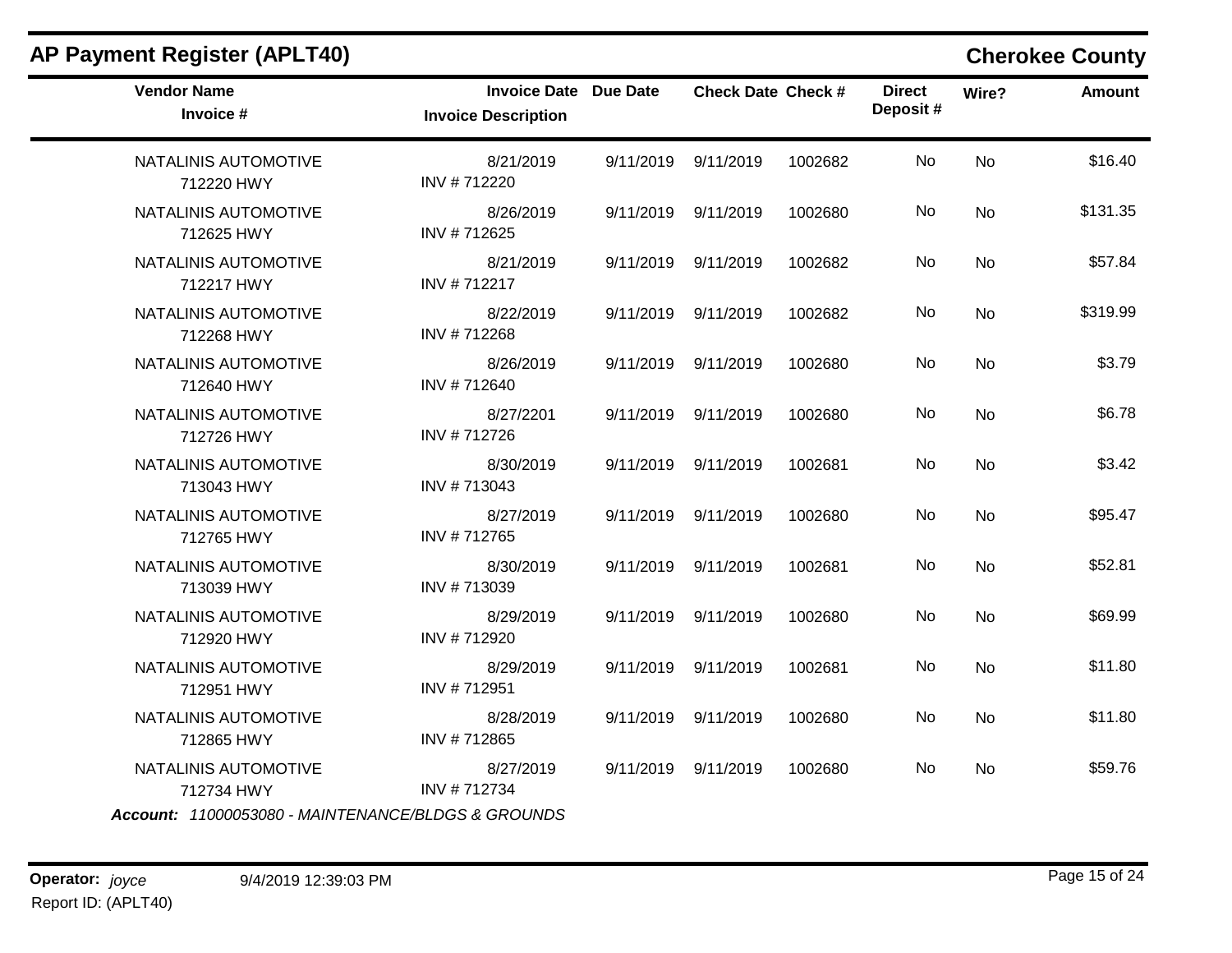| <b>Vendor Name</b><br>Invoice #                                                          | Invoice Date Due Date<br><b>Invoice Description</b> | <b>Check Date Check #</b> |         | <b>Direct</b><br>Deposit# | Wire?     | <b>Amount</b> |
|------------------------------------------------------------------------------------------|-----------------------------------------------------|---------------------------|---------|---------------------------|-----------|---------------|
| NATALINIS AUTOMOTIVE<br>712220 HWY                                                       | 8/21/2019<br>INV #712220                            | 9/11/2019 9/11/2019       | 1002682 | No                        | <b>No</b> | \$16.40       |
| NATALINIS AUTOMOTIVE<br>712625 HWY                                                       | 8/26/2019<br>INV #712625                            | 9/11/2019 9/11/2019       | 1002680 | No.                       | No        | \$131.35      |
| NATALINIS AUTOMOTIVE<br>712217 HWY                                                       | 8/21/2019<br>INV #712217                            | 9/11/2019 9/11/2019       | 1002682 | No                        | <b>No</b> | \$57.84       |
| NATALINIS AUTOMOTIVE<br>712268 HWY                                                       | 8/22/2019<br>INV #712268                            | 9/11/2019 9/11/2019       | 1002682 | No                        | No        | \$319.99      |
| NATALINIS AUTOMOTIVE<br>712640 HWY                                                       | 8/26/2019<br>INV #712640                            | 9/11/2019 9/11/2019       | 1002680 | No                        | No        | \$3.79        |
| NATALINIS AUTOMOTIVE<br>712726 HWY                                                       | 8/27/2201<br>INV #712726                            | 9/11/2019 9/11/2019       | 1002680 | No                        | No        | \$6.78        |
| NATALINIS AUTOMOTIVE<br>713043 HWY                                                       | 8/30/2019<br>INV #713043                            | 9/11/2019 9/11/2019       | 1002681 | No                        | No        | \$3.42        |
| NATALINIS AUTOMOTIVE<br>712765 HWY                                                       | 8/27/2019<br>INV #712765                            | 9/11/2019 9/11/2019       | 1002680 | No                        | No        | \$95.47       |
| NATALINIS AUTOMOTIVE<br>713039 HWY                                                       | 8/30/2019<br>INV #713039                            | 9/11/2019 9/11/2019       | 1002681 | No                        | No        | \$52.81       |
| NATALINIS AUTOMOTIVE<br>712920 HWY                                                       | 8/29/2019<br>INV #712920                            | 9/11/2019 9/11/2019       | 1002680 | No                        | No        | \$69.99       |
| NATALINIS AUTOMOTIVE<br>712951 HWY                                                       | 8/29/2019<br>INV #712951                            | 9/11/2019 9/11/2019       | 1002681 | No                        | <b>No</b> | \$11.80       |
| NATALINIS AUTOMOTIVE<br>712865 HWY                                                       | 8/28/2019<br>INV #712865                            | 9/11/2019 9/11/2019       | 1002680 | No                        | No        | \$11.80       |
| NATALINIS AUTOMOTIVE<br>712734 HWY<br>Account: 11000053080 - MAINTENANCE/BLDGS & GROUNDS | 8/27/2019<br>INV #712734                            | 9/11/2019 9/11/2019       | 1002680 | No.                       | No        | \$59.76       |

### **AP Payment Register (APLT40) Cherokee County**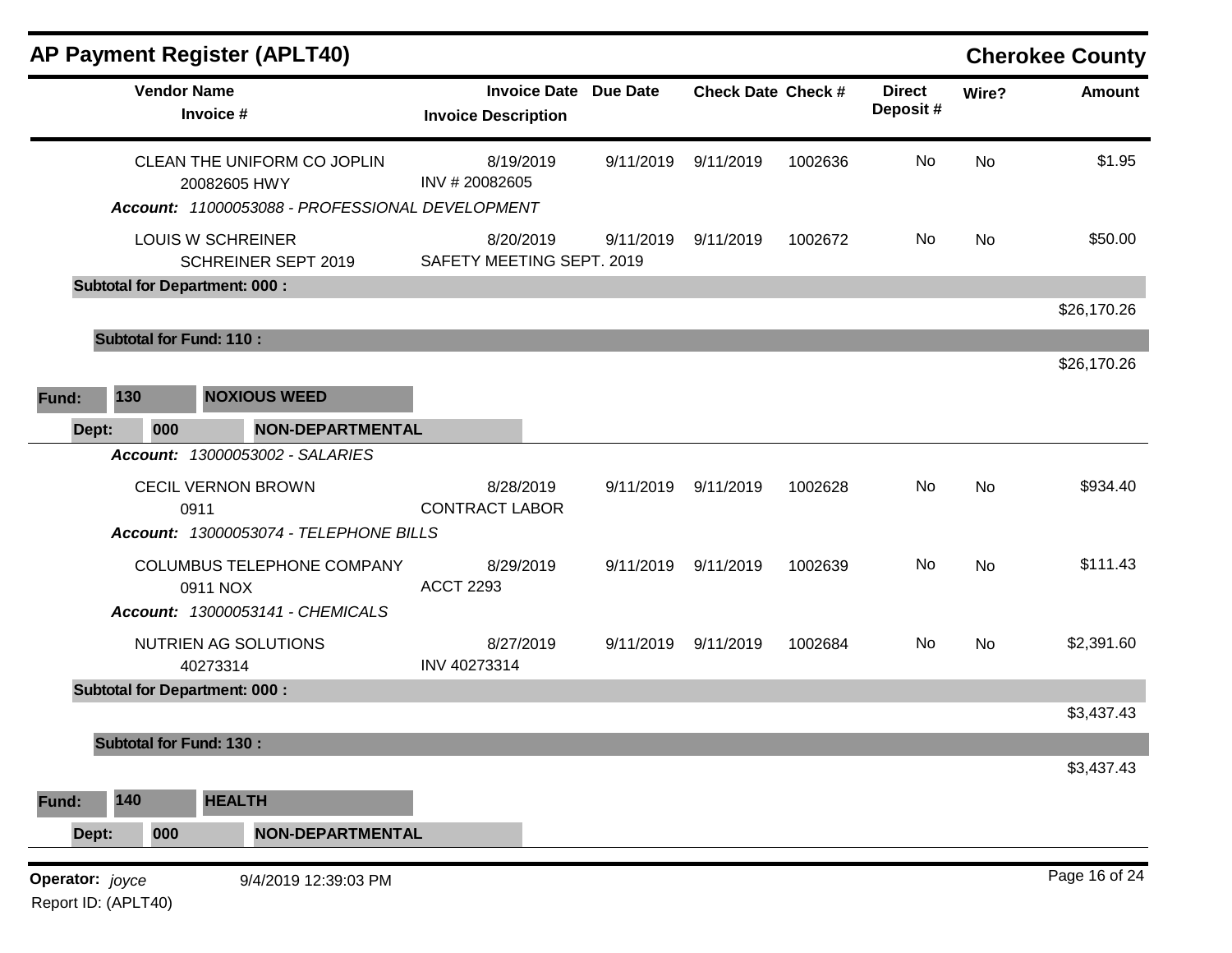|                     | <b>Vendor Name</b> | AP Payment Register (APLT40)                                                                   | <b>Invoice Date Due Date</b>           |           | <b>Check Date Check #</b> |         | <b>Direct</b> |           | <b>Cherokee County</b><br><b>Amount</b> |
|---------------------|--------------------|------------------------------------------------------------------------------------------------|----------------------------------------|-----------|---------------------------|---------|---------------|-----------|-----------------------------------------|
|                     |                    | Invoice #                                                                                      | <b>Invoice Description</b>             |           |                           |         | Deposit#      | Wire?     |                                         |
|                     |                    | CLEAN THE UNIFORM CO JOPLIN<br>20082605 HWY<br>Account: 11000053088 - PROFESSIONAL DEVELOPMENT | 8/19/2019<br>INV #20082605             | 9/11/2019 | 9/11/2019                 | 1002636 | No            | No        | \$1.95                                  |
|                     |                    | <b>LOUIS W SCHREINER</b><br><b>SCHREINER SEPT 2019</b>                                         | 8/20/2019<br>SAFETY MEETING SEPT. 2019 | 9/11/2019 | 9/11/2019                 | 1002672 | No            | No        | \$50.00                                 |
|                     |                    | <b>Subtotal for Department: 000:</b>                                                           |                                        |           |                           |         |               |           |                                         |
|                     |                    |                                                                                                |                                        |           |                           |         |               |           | \$26,170.26                             |
|                     |                    | <b>Subtotal for Fund: 110:</b>                                                                 |                                        |           |                           |         |               |           | \$26,170.26                             |
| 130<br>Fund:        |                    | <b>NOXIOUS WEED</b>                                                                            |                                        |           |                           |         |               |           |                                         |
| Dept:               | 000                | <b>NON-DEPARTMENTAL</b>                                                                        |                                        |           |                           |         |               |           |                                         |
|                     |                    | <b>Account: 13000053002 - SALARIES</b>                                                         |                                        |           |                           |         |               |           |                                         |
|                     |                    | <b>CECIL VERNON BROWN</b><br>0911                                                              | 8/28/2019<br><b>CONTRACT LABOR</b>     | 9/11/2019 | 9/11/2019                 | 1002628 | No            | <b>No</b> | \$934.40                                |
|                     |                    | Account: 13000053074 - TELEPHONE BILLS                                                         |                                        |           |                           |         |               |           |                                         |
|                     |                    | COLUMBUS TELEPHONE COMPANY<br>0911 NOX                                                         | 8/29/2019<br><b>ACCT 2293</b>          | 9/11/2019 | 9/11/2019                 | 1002639 | No            | No        | \$111.43                                |
|                     |                    | Account: 13000053141 - CHEMICALS                                                               |                                        |           |                           |         |               |           |                                         |
|                     |                    | NUTRIEN AG SOLUTIONS<br>40273314                                                               | 8/27/2019<br>INV 40273314              | 9/11/2019 | 9/11/2019                 | 1002684 | No            | No        | \$2,391.60                              |
|                     |                    | <b>Subtotal for Department: 000:</b>                                                           |                                        |           |                           |         |               |           | \$3,437.43                              |
|                     |                    | <b>Subtotal for Fund: 130:</b>                                                                 |                                        |           |                           |         |               |           |                                         |
|                     |                    |                                                                                                |                                        |           |                           |         |               |           | \$3,437.43                              |
| 140<br>Fund:        |                    | <b>HEALTH</b>                                                                                  |                                        |           |                           |         |               |           |                                         |
| Dept:               | 000                | <b>NON-DEPARTMENTAL</b>                                                                        |                                        |           |                           |         |               |           |                                         |
| Operator: joyce     |                    | 9/4/2019 12:39:03 PM                                                                           |                                        |           |                           |         |               |           | Page 16 of 24                           |
| Report ID: (APLT40) |                    |                                                                                                |                                        |           |                           |         |               |           |                                         |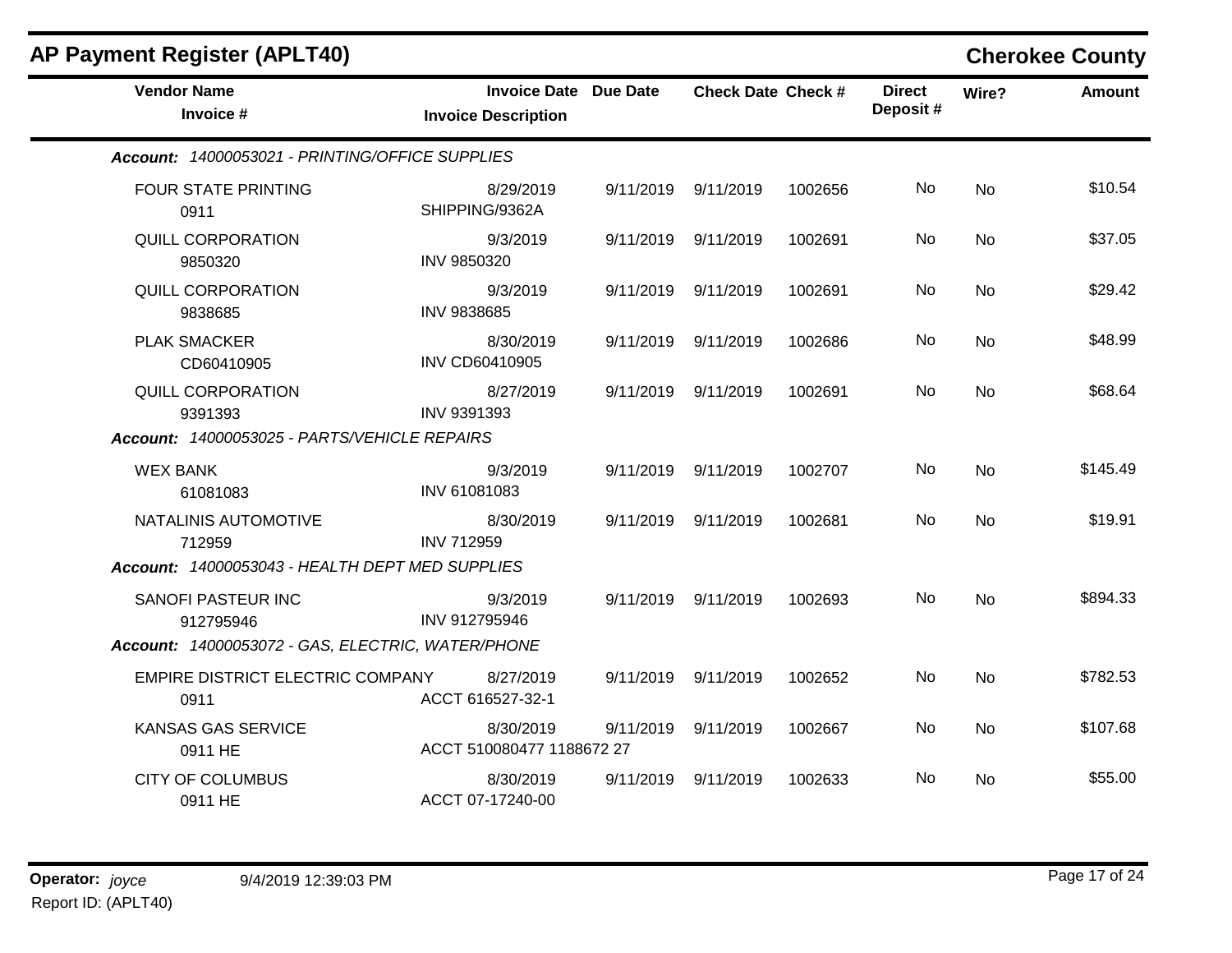| <b>Vendor Name</b><br>Invoice #                   | Invoice Date Due Date                  |           | <b>Check Date Check #</b> |         | <b>Direct</b><br>Deposit# | Wire?     | <b>Amount</b> |
|---------------------------------------------------|----------------------------------------|-----------|---------------------------|---------|---------------------------|-----------|---------------|
|                                                   | <b>Invoice Description</b>             |           |                           |         |                           |           |               |
| Account: 14000053021 - PRINTING/OFFICE SUPPLIES   |                                        |           |                           |         |                           |           |               |
| <b>FOUR STATE PRINTING</b><br>0911                | 8/29/2019<br>SHIPPING/9362A            |           | 9/11/2019 9/11/2019       | 1002656 | No                        | <b>No</b> | \$10.54       |
| <b>QUILL CORPORATION</b><br>9850320               | 9/3/2019<br>INV 9850320                |           | 9/11/2019 9/11/2019       | 1002691 | No                        | No        | \$37.05       |
| QUILL CORPORATION<br>9838685                      | 9/3/2019<br><b>INV 9838685</b>         | 9/11/2019 | 9/11/2019                 | 1002691 | No                        | <b>No</b> | \$29.42       |
| <b>PLAK SMACKER</b><br>CD60410905                 | 8/30/2019<br>INV CD60410905            | 9/11/2019 | 9/11/2019                 | 1002686 | No.                       | <b>No</b> | \$48.99       |
| QUILL CORPORATION<br>9391393                      | 8/27/2019<br>INV 9391393               | 9/11/2019 | 9/11/2019                 | 1002691 | No.                       | <b>No</b> | \$68.64       |
| Account: 14000053025 - PARTS/VEHICLE REPAIRS      |                                        |           |                           |         |                           |           |               |
| <b>WEX BANK</b><br>61081083                       | 9/3/2019<br>INV 61081083               |           | 9/11/2019 9/11/2019       | 1002707 | No                        | No        | \$145.49      |
| NATALINIS AUTOMOTIVE<br>712959                    | 8/30/2019<br><b>INV 712959</b>         | 9/11/2019 | 9/11/2019                 | 1002681 | No                        | No.       | \$19.91       |
| Account: 14000053043 - HEALTH DEPT MED SUPPLIES   |                                        |           |                           |         |                           |           |               |
| SANOFI PASTEUR INC<br>912795946                   | 9/3/2019<br>INV 912795946              |           | 9/11/2019 9/11/2019       | 1002693 | No                        | <b>No</b> | \$894.33      |
| Account: 14000053072 - GAS, ELECTRIC, WATER/PHONE |                                        |           |                           |         |                           |           |               |
| EMPIRE DISTRICT ELECTRIC COMPANY<br>0911          | 8/27/2019<br>ACCT 616527-32-1          | 9/11/2019 | 9/11/2019                 | 1002652 | No                        | <b>No</b> | \$782.53      |
| <b>KANSAS GAS SERVICE</b><br>0911 HE              | 8/30/2019<br>ACCT 510080477 1188672 27 | 9/11/2019 | 9/11/2019                 | 1002667 | No                        | <b>No</b> | \$107.68      |
| <b>CITY OF COLUMBUS</b><br>0911 HE                | 8/30/2019<br>ACCT 07-17240-00          | 9/11/2019 | 9/11/2019                 | 1002633 | No                        | No.       | \$55.00       |

## **AP Payment Register (APLT40) Cherokee County**

m.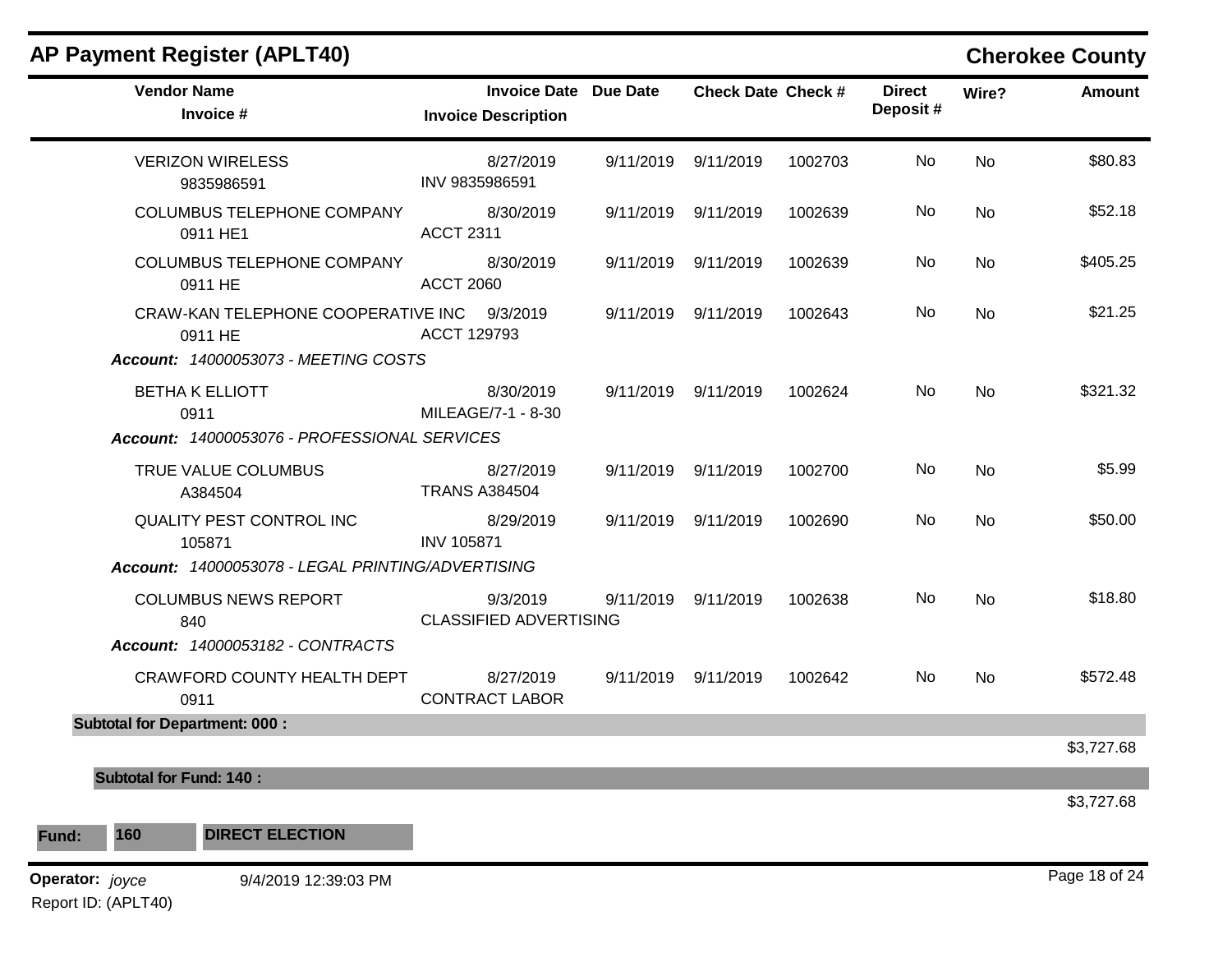| <b>AP Payment Register (APLT40)</b>                                                   |                      |                                                            |           |                           |         |                           |           | <b>Cherokee County</b> |
|---------------------------------------------------------------------------------------|----------------------|------------------------------------------------------------|-----------|---------------------------|---------|---------------------------|-----------|------------------------|
| <b>Vendor Name</b><br>Invoice #                                                       |                      | <b>Invoice Date Due Date</b><br><b>Invoice Description</b> |           | <b>Check Date Check #</b> |         | <b>Direct</b><br>Deposit# | Wire?     | <b>Amount</b>          |
| <b>VERIZON WIRELESS</b><br>9835986591                                                 | INV 9835986591       | 8/27/2019                                                  | 9/11/2019 | 9/11/2019                 | 1002703 | No                        | <b>No</b> | \$80.83                |
| <b>COLUMBUS TELEPHONE COMPANY</b><br>0911 HE1                                         | <b>ACCT 2311</b>     | 8/30/2019                                                  | 9/11/2019 | 9/11/2019                 | 1002639 | No                        | <b>No</b> | \$52.18                |
| <b>COLUMBUS TELEPHONE COMPANY</b><br>0911 HE                                          | <b>ACCT 2060</b>     | 8/30/2019                                                  |           | 9/11/2019 9/11/2019       | 1002639 | No.                       | No        | \$405.25               |
| CRAW-KAN TELEPHONE COOPERATIVE INC<br>0911 HE<br>Account: 14000053073 - MEETING COSTS | ACCT 129793          | 9/3/2019                                                   | 9/11/2019 | 9/11/2019                 | 1002643 | No                        | <b>No</b> | \$21.25                |
| <b>BETHA K ELLIOTT</b><br>0911<br>Account: 14000053076 - PROFESSIONAL SERVICES        |                      | 8/30/2019<br>MILEAGE/7-1 - 8-30                            |           | 9/11/2019 9/11/2019       | 1002624 | No                        | No        | \$321.32               |
| TRUE VALUE COLUMBUS<br>A384504                                                        | <b>TRANS A384504</b> | 8/27/2019                                                  |           | 9/11/2019 9/11/2019       | 1002700 | No                        | <b>No</b> | \$5.99                 |
| QUALITY PEST CONTROL INC<br>105871                                                    | <b>INV 105871</b>    | 8/29/2019                                                  |           | 9/11/2019 9/11/2019       | 1002690 | No                        | <b>No</b> | \$50.00                |
| Account: 14000053078 - LEGAL PRINTING/ADVERTISING                                     |                      |                                                            |           |                           |         |                           |           |                        |
| <b>COLUMBUS NEWS REPORT</b><br>840                                                    |                      | 9/3/2019<br><b>CLASSIFIED ADVERTISING</b>                  | 9/11/2019 | 9/11/2019                 | 1002638 | No.                       | <b>No</b> | \$18.80                |
| Account: 14000053182 - CONTRACTS                                                      |                      |                                                            |           |                           |         |                           |           |                        |
| CRAWFORD COUNTY HEALTH DEPT<br>0911                                                   |                      | 8/27/2019<br><b>CONTRACT LABOR</b>                         |           | 9/11/2019 9/11/2019       | 1002642 | No                        | <b>No</b> | \$572.48               |
| <b>Subtotal for Department: 000:</b>                                                  |                      |                                                            |           |                           |         |                           |           |                        |
|                                                                                       |                      |                                                            |           |                           |         |                           |           | \$3,727.68             |
| <b>Subtotal for Fund: 140:</b>                                                        |                      |                                                            |           |                           |         |                           |           |                        |
|                                                                                       |                      |                                                            |           |                           |         |                           |           | \$3,727.68             |
| 160<br><b>DIRECT ELECTION</b>                                                         |                      |                                                            |           |                           |         |                           |           |                        |
| Fund:                                                                                 |                      |                                                            |           |                           |         |                           |           |                        |

**Operator:** joyce 9/4/2019 12:39:03 PM Report ID: (APLT40)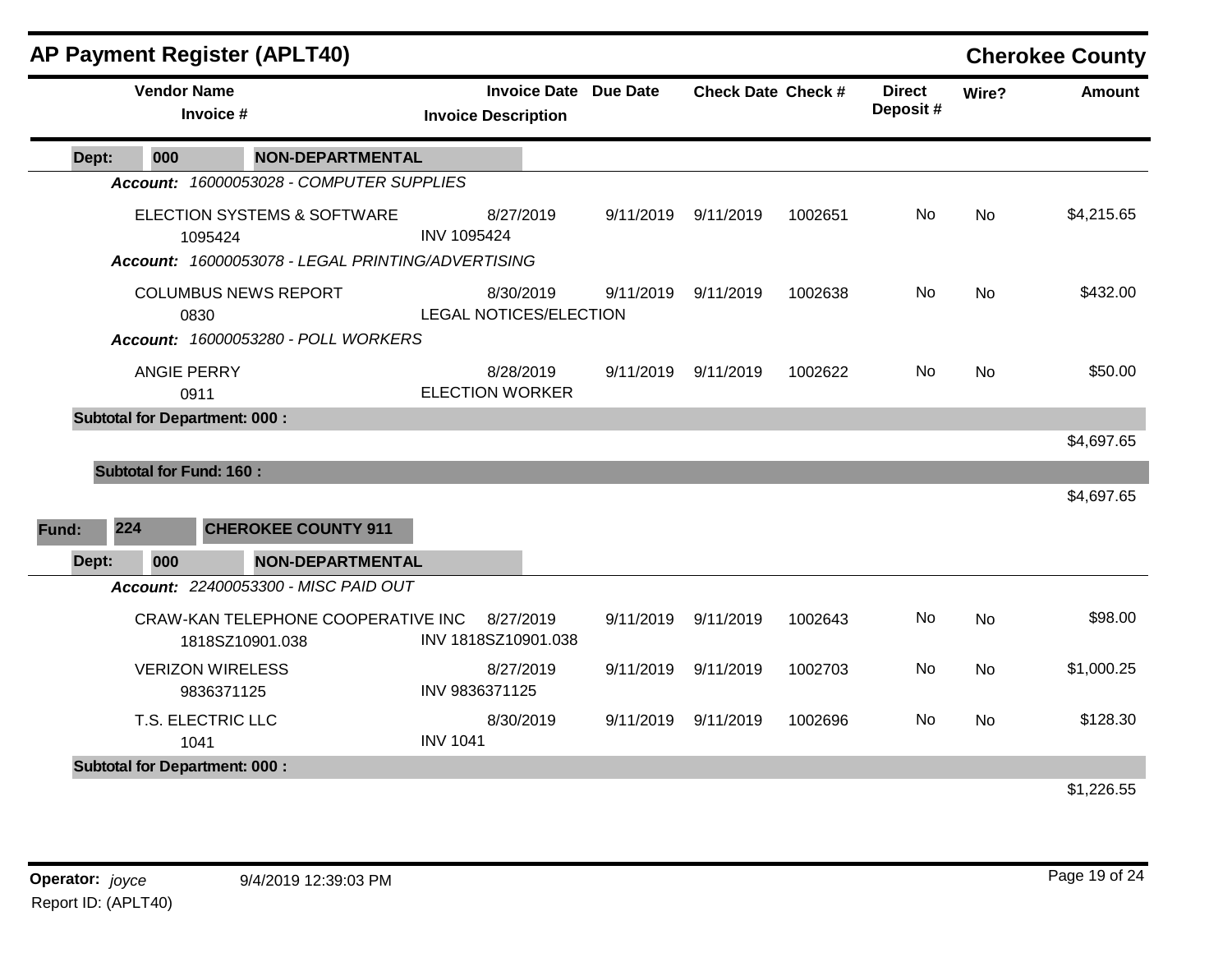|       |                                | <b>AP Payment Register (APLT40)</b>                                                         |                                                   |           |                           |         |                           |           | <b>Cherokee County</b> |
|-------|--------------------------------|---------------------------------------------------------------------------------------------|---------------------------------------------------|-----------|---------------------------|---------|---------------------------|-----------|------------------------|
|       | <b>Vendor Name</b>             | Invoice #                                                                                   | <b>Invoice Date</b><br><b>Invoice Description</b> | Due Date  | <b>Check Date Check #</b> |         | <b>Direct</b><br>Deposit# | Wire?     | <b>Amount</b>          |
| Dept: | 000                            | <b>NON-DEPARTMENTAL</b>                                                                     |                                                   |           |                           |         |                           |           |                        |
|       |                                | Account: 16000053028 - COMPUTER SUPPLIES                                                    |                                                   |           |                           |         |                           |           |                        |
|       |                                | ELECTION SYSTEMS & SOFTWARE<br>1095424<br>Account: 16000053078 - LEGAL PRINTING/ADVERTISING | 8/27/2019<br><b>INV 1095424</b>                   | 9/11/2019 | 9/11/2019                 | 1002651 | No                        | <b>No</b> | \$4,215.65             |
|       | 0830                           | <b>COLUMBUS NEWS REPORT</b><br>Account: 16000053280 - POLL WORKERS                          | 8/30/2019<br><b>LEGAL NOTICES/ELECTION</b>        | 9/11/2019 | 9/11/2019                 | 1002638 | No                        | No        | \$432.00               |
|       | <b>ANGIE PERRY</b><br>0911     |                                                                                             | 8/28/2019<br><b>ELECTION WORKER</b>               | 9/11/2019 | 9/11/2019                 | 1002622 | <b>No</b>                 | <b>No</b> | \$50.00                |
|       |                                | <b>Subtotal for Department: 000:</b>                                                        |                                                   |           |                           |         |                           |           |                        |
|       |                                |                                                                                             |                                                   |           |                           |         |                           |           | \$4,697.65             |
|       | <b>Subtotal for Fund: 160:</b> |                                                                                             |                                                   |           |                           |         |                           |           | \$4,697.65             |
| Fund: | 224                            | <b>CHEROKEE COUNTY 911</b>                                                                  |                                                   |           |                           |         |                           |           |                        |
| Dept: | 000                            | NON-DEPARTMENTAL                                                                            |                                                   |           |                           |         |                           |           |                        |
|       |                                | Account: 22400053300 - MISC PAID OUT                                                        |                                                   |           |                           |         |                           |           |                        |
|       |                                | CRAW-KAN TELEPHONE COOPERATIVE INC<br>1818SZ10901.038                                       | 8/27/2019<br>INV 1818SZ10901.038                  | 9/11/2019 | 9/11/2019                 | 1002643 | No                        | No        | \$98.00                |
|       |                                | <b>VERIZON WIRELESS</b><br>9836371125                                                       | 8/27/2019<br>INV 9836371125                       | 9/11/2019 | 9/11/2019                 | 1002703 | <b>No</b>                 | No        | \$1,000.25             |
|       | 1041                           | T.S. ELECTRIC LLC                                                                           | 8/30/2019<br><b>INV 1041</b>                      | 9/11/2019 | 9/11/2019                 | 1002696 | No.                       | <b>No</b> | \$128.30               |
|       |                                | <b>Subtotal for Department: 000:</b>                                                        |                                                   |           |                           |         |                           |           |                        |
|       |                                |                                                                                             |                                                   |           |                           |         |                           |           | \$1,226.55             |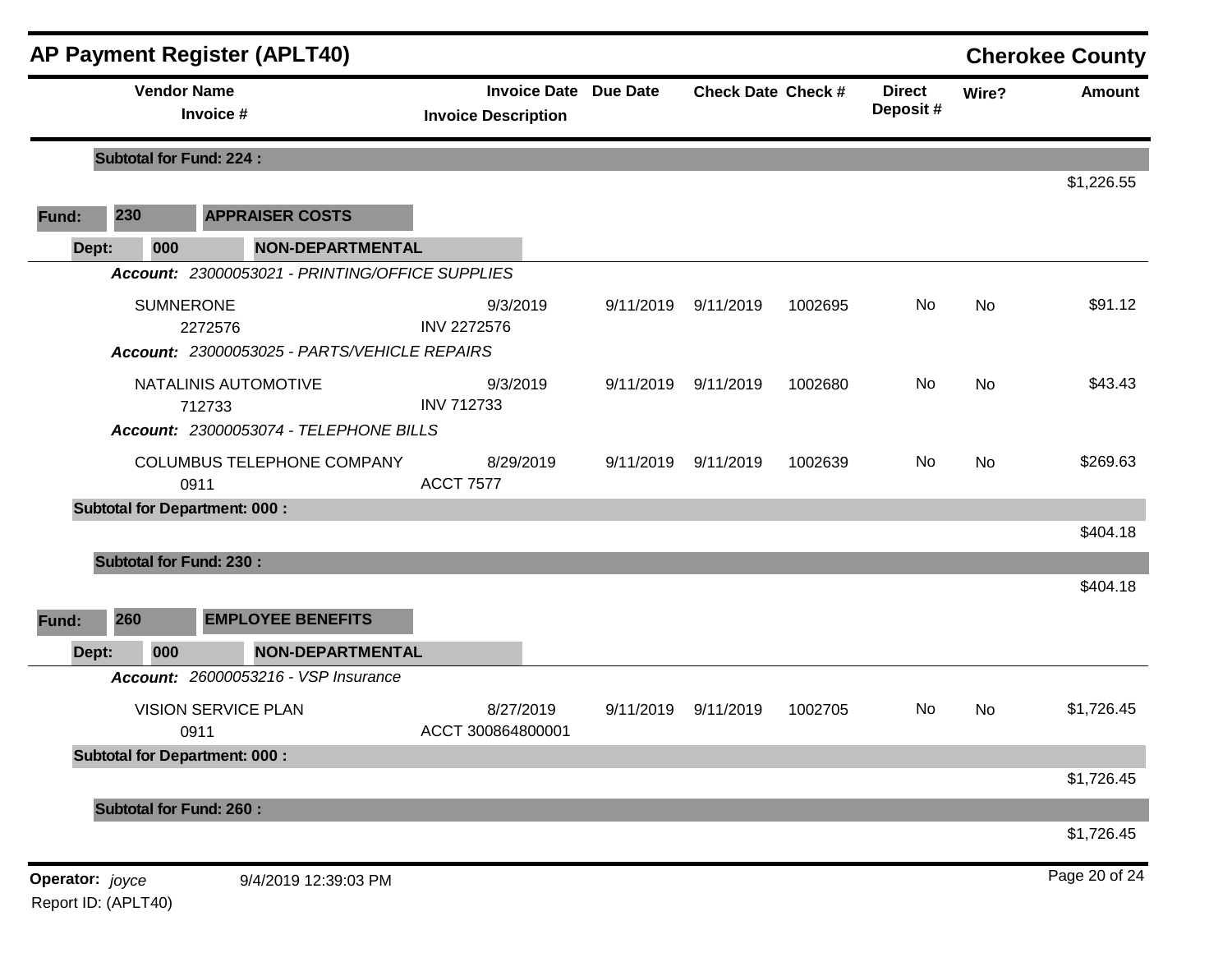|                 |     | <b>AP Payment Register (APLT40)</b>                                         |                                                            |           |                           |         |                           |           | <b>Cherokee County</b> |
|-----------------|-----|-----------------------------------------------------------------------------|------------------------------------------------------------|-----------|---------------------------|---------|---------------------------|-----------|------------------------|
|                 |     | <b>Vendor Name</b><br>Invoice #                                             | <b>Invoice Date Due Date</b><br><b>Invoice Description</b> |           | <b>Check Date Check #</b> |         | <b>Direct</b><br>Deposit# | Wire?     | <b>Amount</b>          |
|                 |     | <b>Subtotal for Fund: 224:</b>                                              |                                                            |           |                           |         |                           |           |                        |
| Fund:           | 230 | <b>APPRAISER COSTS</b>                                                      |                                                            |           |                           |         |                           |           | \$1,226.55             |
| Dept:           | 000 | <b>NON-DEPARTMENTAL</b>                                                     |                                                            |           |                           |         |                           |           |                        |
|                 |     | Account: 23000053021 - PRINTING/OFFICE SUPPLIES                             |                                                            |           |                           |         |                           |           |                        |
|                 |     | <b>SUMNERONE</b><br>2272576<br>Account: 23000053025 - PARTS/VEHICLE REPAIRS | 9/3/2019<br><b>INV 2272576</b>                             | 9/11/2019 | 9/11/2019                 | 1002695 | No                        | <b>No</b> | \$91.12                |
|                 |     | NATALINIS AUTOMOTIVE<br>712733<br>Account: 23000053074 - TELEPHONE BILLS    | 9/3/2019<br><b>INV 712733</b>                              | 9/11/2019 | 9/11/2019                 | 1002680 | No                        | <b>No</b> | \$43.43                |
|                 |     | COLUMBUS TELEPHONE COMPANY<br>0911                                          | 8/29/2019<br><b>ACCT 7577</b>                              | 9/11/2019 | 9/11/2019                 | 1002639 | No.                       | <b>No</b> | \$269.63               |
|                 |     | <b>Subtotal for Department: 000:</b>                                        |                                                            |           |                           |         |                           |           |                        |
|                 |     |                                                                             |                                                            |           |                           |         |                           |           | \$404.18               |
| Fund:           | 260 | <b>Subtotal for Fund: 230:</b><br><b>EMPLOYEE BENEFITS</b>                  |                                                            |           |                           |         |                           |           | \$404.18               |
| Dept:           | 000 | <b>NON-DEPARTMENTAL</b>                                                     |                                                            |           |                           |         |                           |           |                        |
|                 |     | Account: 26000053216 - VSP Insurance                                        |                                                            |           |                           |         |                           |           |                        |
|                 |     | <b>VISION SERVICE PLAN</b><br>0911                                          | 8/27/2019<br>ACCT 300864800001                             | 9/11/2019 | 9/11/2019                 | 1002705 | No.                       | No        | \$1,726.45             |
|                 |     | <b>Subtotal for Department: 000:</b>                                        |                                                            |           |                           |         |                           |           |                        |
|                 |     |                                                                             |                                                            |           |                           |         |                           |           | \$1,726.45             |
|                 |     | <b>Subtotal for Fund: 260:</b>                                              |                                                            |           |                           |         |                           |           |                        |
|                 |     |                                                                             |                                                            |           |                           |         |                           |           | \$1,726.45             |
| Operator: joyce |     | 9/4/2019 12:39:03 PM                                                        |                                                            |           |                           |         |                           |           | Page 20 of 24          |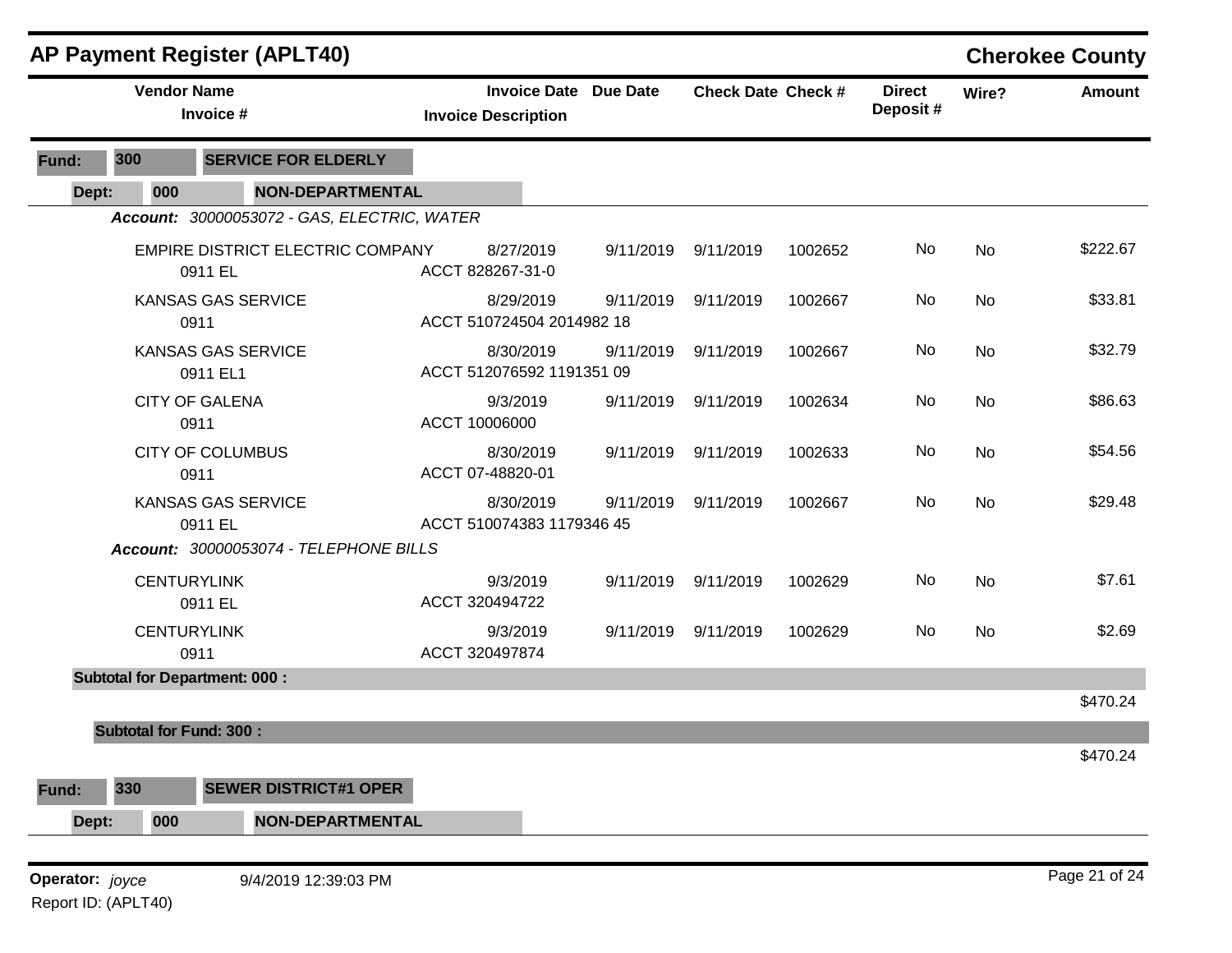|       |                                | <b>AP Payment Register (APLT40)</b>                                     |                                                            |           |                           |         |                           |           | <b>Cherokee County</b> |
|-------|--------------------------------|-------------------------------------------------------------------------|------------------------------------------------------------|-----------|---------------------------|---------|---------------------------|-----------|------------------------|
|       | <b>Vendor Name</b>             | Invoice #                                                               | <b>Invoice Date Due Date</b><br><b>Invoice Description</b> |           | <b>Check Date Check #</b> |         | <b>Direct</b><br>Deposit# | Wire?     | <b>Amount</b>          |
| Fund: | 300                            | <b>SERVICE FOR ELDERLY</b>                                              |                                                            |           |                           |         |                           |           |                        |
| Dept: | 000                            | <b>NON-DEPARTMENTAL</b>                                                 |                                                            |           |                           |         |                           |           |                        |
|       |                                | Account: 30000053072 - GAS, ELECTRIC, WATER                             |                                                            |           |                           |         |                           |           |                        |
|       |                                | EMPIRE DISTRICT ELECTRIC COMPANY<br>0911 EL                             | 8/27/2019<br>ACCT 828267-31-0                              | 9/11/2019 | 9/11/2019                 | 1002652 | No                        | No        | \$222.67               |
|       |                                | <b>KANSAS GAS SERVICE</b><br>0911                                       | 8/29/2019<br>ACCT 510724504 2014982 18                     | 9/11/2019 | 9/11/2019                 | 1002667 | No                        | <b>No</b> | \$33.81                |
|       |                                | KANSAS GAS SERVICE<br>0911 EL1                                          | 8/30/2019<br>ACCT 512076592 1191351 09                     | 9/11/2019 | 9/11/2019                 | 1002667 | No                        | No        | \$32.79                |
|       |                                | <b>CITY OF GALENA</b><br>0911                                           | 9/3/2019<br>ACCT 10006000                                  | 9/11/2019 | 9/11/2019                 | 1002634 | No                        | No        | \$86.63                |
|       |                                | <b>CITY OF COLUMBUS</b><br>0911                                         | 8/30/2019<br>ACCT 07-48820-01                              | 9/11/2019 | 9/11/2019                 | 1002633 | No                        | <b>No</b> | \$54.56                |
|       |                                | KANSAS GAS SERVICE<br>0911 EL<br>Account: 30000053074 - TELEPHONE BILLS | 8/30/2019<br>ACCT 510074383 1179346 45                     | 9/11/2019 | 9/11/2019                 | 1002667 | <b>No</b>                 | No        | \$29.48                |
|       | <b>CENTURYLINK</b>             | 0911 EL                                                                 | 9/3/2019<br>ACCT 320494722                                 | 9/11/2019 | 9/11/2019                 | 1002629 | No                        | No        | \$7.61                 |
|       | <b>CENTURYLINK</b>             | 0911                                                                    | 9/3/2019<br>ACCT 320497874                                 | 9/11/2019 | 9/11/2019                 | 1002629 | No                        | No        | \$2.69                 |
|       |                                | <b>Subtotal for Department: 000:</b>                                    |                                                            |           |                           |         |                           |           |                        |
|       | <b>Subtotal for Fund: 300:</b> |                                                                         |                                                            |           |                           |         |                           |           | \$470.24               |
|       |                                |                                                                         |                                                            |           |                           |         |                           |           | \$470.24               |

**Operator:** joyce 9/4/2019 12:39:03 PM Report ID: (APLT40)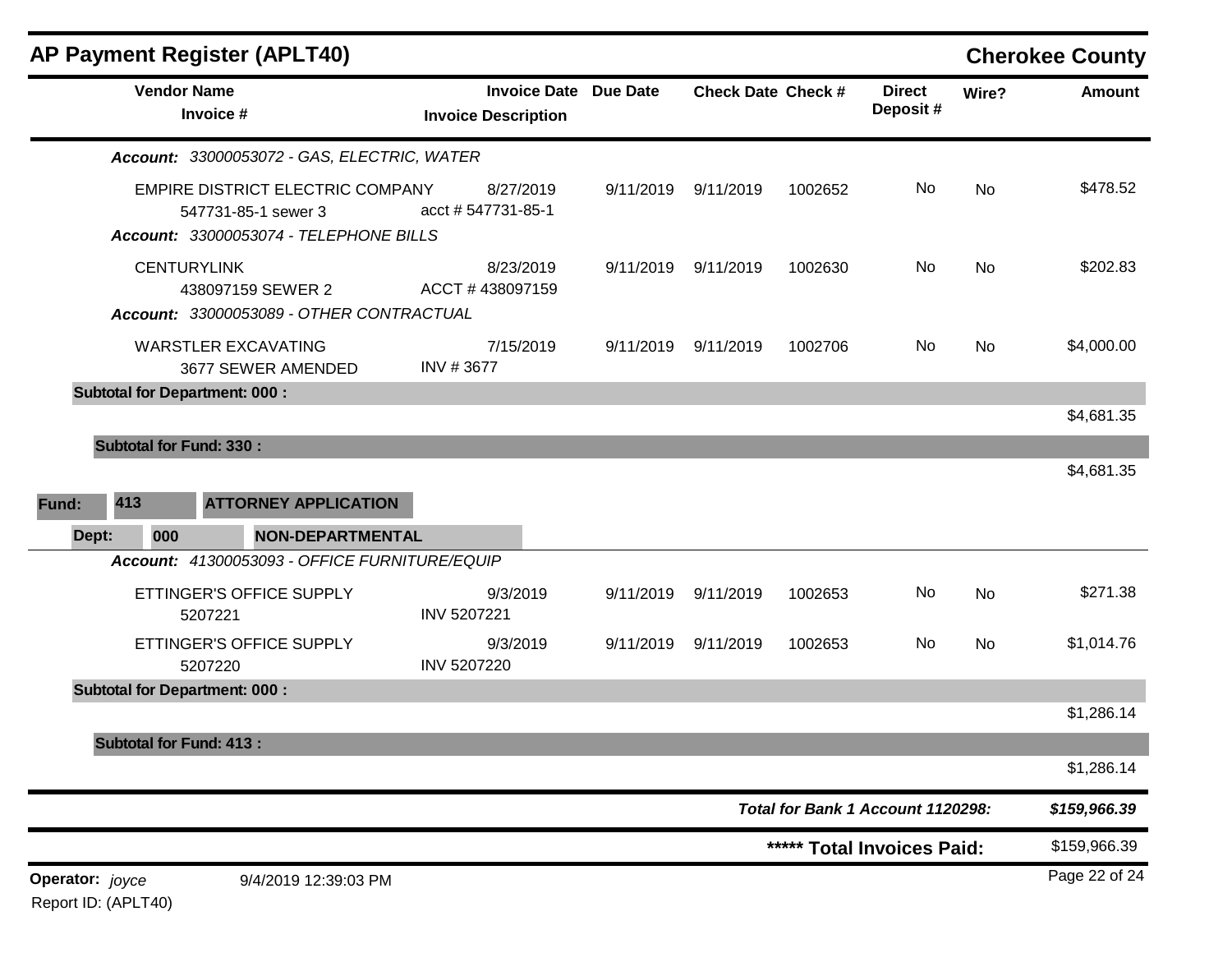| <b>AP Payment Register (APLT40)</b>                                                                                      |                                                            |           |                           |         |                                   |           | <b>Cherokee County</b> |
|--------------------------------------------------------------------------------------------------------------------------|------------------------------------------------------------|-----------|---------------------------|---------|-----------------------------------|-----------|------------------------|
| <b>Vendor Name</b><br>Invoice #                                                                                          | <b>Invoice Date Due Date</b><br><b>Invoice Description</b> |           | <b>Check Date Check #</b> |         | <b>Direct</b><br>Deposit#         | Wire?     | <b>Amount</b>          |
| Account: 33000053072 - GAS, ELECTRIC, WATER                                                                              |                                                            |           |                           |         |                                   |           |                        |
| EMPIRE DISTRICT ELECTRIC COMPANY<br>547731-85-1 sewer 3<br>Account: 33000053074 - TELEPHONE BILLS                        | 8/27/2019<br>acct #547731-85-1                             |           | 9/11/2019 9/11/2019       | 1002652 | No                                | <b>No</b> | \$478.52               |
| <b>CENTURYLINK</b><br>438097159 SEWER 2<br>Account: 33000053089 - OTHER CONTRACTUAL                                      | 8/23/2019<br>ACCT #438097159                               |           | 9/11/2019 9/11/2019       | 1002630 | No                                | No        | \$202.83               |
| <b>WARSTLER EXCAVATING</b><br>3677 SEWER AMENDED                                                                         | 7/15/2019<br>INV #3677                                     |           | 9/11/2019 9/11/2019       | 1002706 | No                                | No        | \$4,000.00             |
| <b>Subtotal for Department: 000:</b>                                                                                     |                                                            |           |                           |         |                                   |           | \$4,681.35             |
| <b>Subtotal for Fund: 330:</b><br>413<br><b>ATTORNEY APPLICATION</b><br>Fund:<br><b>NON-DEPARTMENTAL</b><br>000<br>Dept: |                                                            |           |                           |         |                                   |           | \$4,681.35             |
| Account: 41300053093 - OFFICE FURNITURE/EQUIP                                                                            |                                                            |           |                           |         |                                   |           |                        |
| ETTINGER'S OFFICE SUPPLY<br>5207221                                                                                      | 9/3/2019<br>INV 5207221                                    |           | 9/11/2019 9/11/2019       | 1002653 | No                                | <b>No</b> | \$271.38               |
| ETTINGER'S OFFICE SUPPLY<br>5207220                                                                                      | 9/3/2019<br><b>INV 5207220</b>                             | 9/11/2019 | 9/11/2019                 | 1002653 | No                                | <b>No</b> | \$1,014.76             |
| <b>Subtotal for Department: 000:</b>                                                                                     |                                                            |           |                           |         |                                   |           |                        |
| <b>Subtotal for Fund: 413:</b>                                                                                           |                                                            |           |                           |         |                                   |           | \$1,286.14             |
|                                                                                                                          |                                                            |           |                           |         |                                   |           | \$1,286.14             |
|                                                                                                                          |                                                            |           |                           |         | Total for Bank 1 Account 1120298: |           | \$159,966.39           |
|                                                                                                                          |                                                            |           |                           |         | ***** Total Invoices Paid:        |           | \$159,966.39           |
| Operator: joyce<br>9/4/2019 12:39:03 PM                                                                                  |                                                            |           |                           |         |                                   |           | Page 22 of 24          |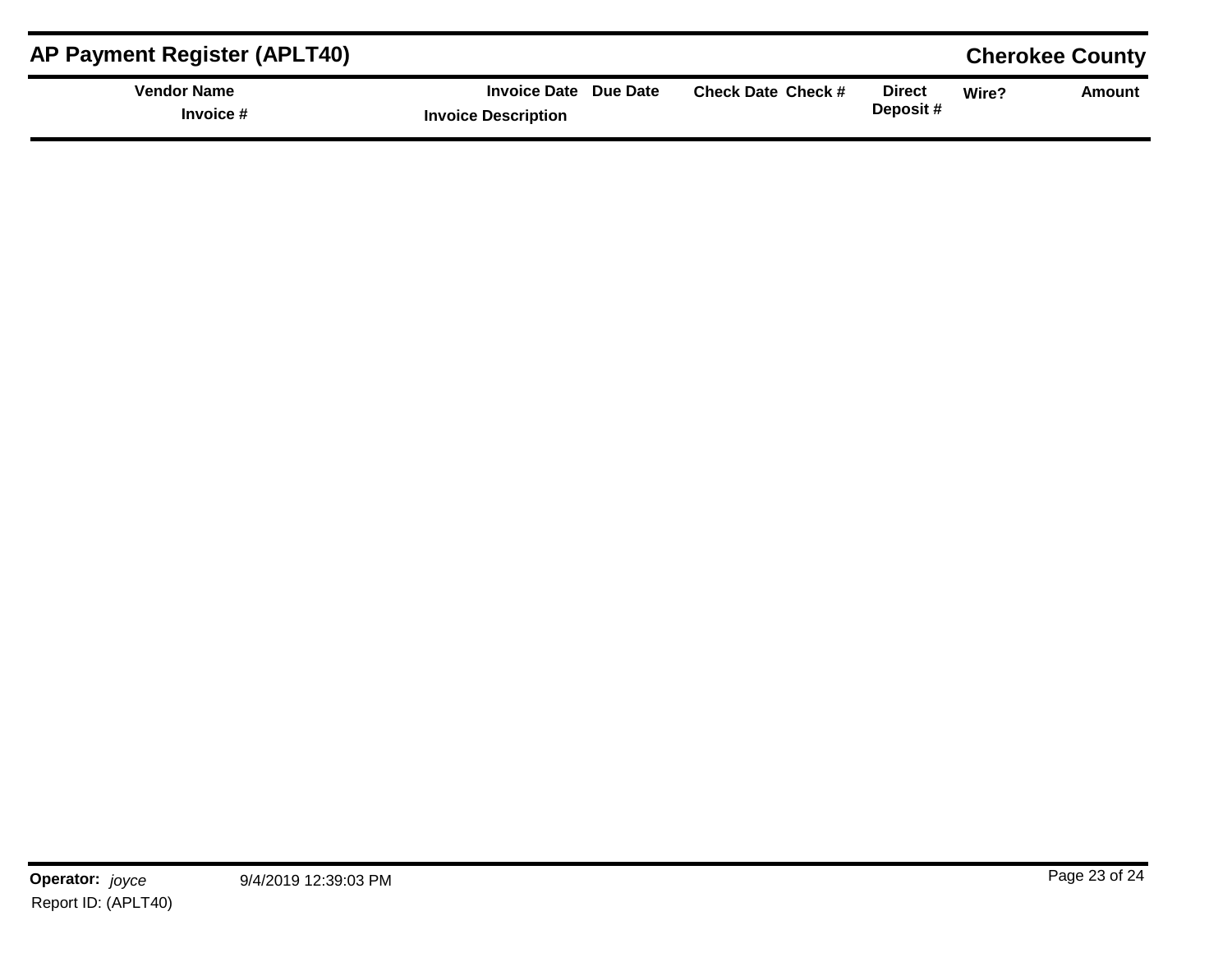| <b>AP Payment Register (APLT40)</b> |                                                     |                           |                    |       | <b>Cherokee County</b> |
|-------------------------------------|-----------------------------------------------------|---------------------------|--------------------|-------|------------------------|
| <b>Vendor Name</b><br>Invoice #     | Invoice Date Due Date<br><b>Invoice Description</b> | <b>Check Date Check #</b> | Direct<br>Deposit# | Wire? | Amount                 |